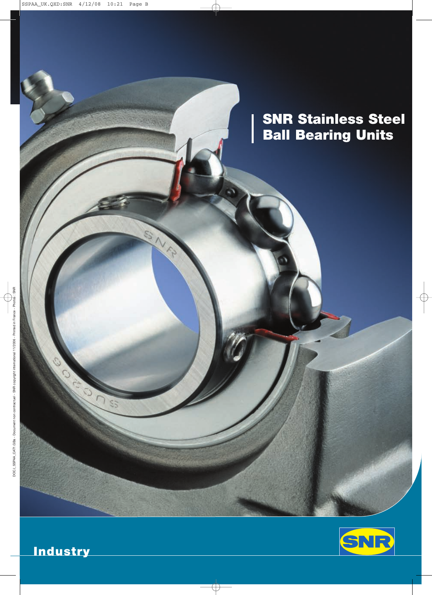**SNR Stainless Steel Ball Bearing Units**

I

LE 1



**Industry**

O

 $\overline{c}$ 

SS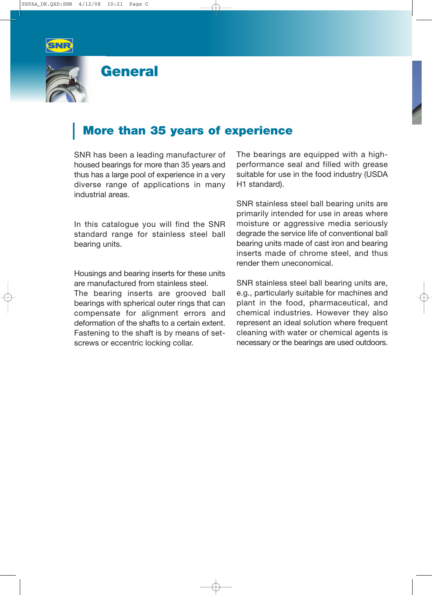

### **General**

### **More than 35 years of experience**

SNR has been a leading manufacturer of housed bearings for more than 35 years and thus has a large pool of experience in a very diverse range of applications in many industrial areas.

In this catalogue you will find the SNR standard range for stainless steel ball bearing units.

Housings and bearing inserts for these units are manufactured from stainless steel. The bearing inserts are grooved ball

bearings with spherical outer rings that can compensate for alignment errors and deformation of the shafts to a certain extent. Fastening to the shaft is by means of setscrews or eccentric locking collar.

The bearings are equipped with a highperformance seal and filled with grease suitable for use in the food industry (USDA H1 standard).

SNR stainless steel ball bearing units are primarily intended for use in areas where moisture or aggressive media seriously degrade the service life of conventional ball bearing units made of cast iron and bearing inserts made of chrome steel, and thus render them uneconomical.

SNR stainless steel ball bearing units are, e.g., particularly suitable for machines and plant in the food, pharmaceutical, and chemical industries. However they also represent an ideal solution where frequent cleaning with water or chemical agents is necessary or the bearings are used outdoors.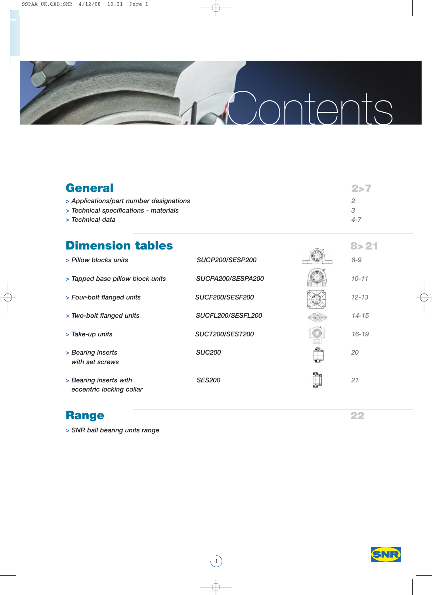

| <b>General</b>                          | -2>7    |
|-----------------------------------------|---------|
| > Applications/part number designations |         |
| > Technical specifications - materials  | З       |
| > Technical data                        | $4 - 7$ |

# **Dimension tables 8>21**

| > Pillow blocks units                              | <b>SUCP200/SESP200</b> |      | $8 - 9$   |
|----------------------------------------------------|------------------------|------|-----------|
| > Tapped base pillow block units                   | SUCPA200/SESPA200      |      | $10 - 11$ |
| > Four-bolt flanged units                          | <b>SUCF200/SESF200</b> |      | $12 - 13$ |
| > Two-bolt flanged units                           | SUCFL200/SESFL200      |      | $14 - 15$ |
| > Take-up units                                    | <b>SUCT200/SEST200</b> |      | $16 - 19$ |
| > Bearing inserts<br>with set screws               | <b>SUC200</b>          |      | 20        |
| > Bearing inserts with<br>eccentric locking collar | <b>SES200</b>          | K.H. | 21        |

 $\bigcup$ 

## **Range 22**

*> SNR ball bearing units range*

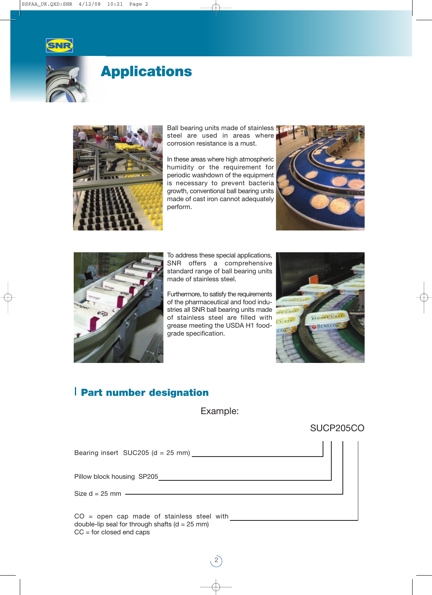



## **Applications**



Ball bearing units made of stainless steel are used in areas where corrosion resistance is a must.

In these areas where high atmospheric humidity or the requirement for periodic washdown of the equipment is necessary to prevent bacteria growth, conventional ball bearing units made of cast iron cannot adequately perform.





To address these special applications, SNR offers a comprehensive standard range of ball bearing units made of stainless steel.

Furthermore, to satisfy the requirements of the pharmaceutical and food industries all SNR ball bearing units made of stainless steel are filled with grease meeting the USDA H1 foodgrade specification.



### **Part number designation**

Example:

### SUCP205CO

Bearing insert SUC205 (d =  $25$  mm)  $\frac{1}{2}$ Pillow block housing SP205 CO = open cap made of stainless steel with double-lip seal for through shafts ( $d = 25$  mm) Size  $d = 25$  mm

2

 $CC =$  for closed end caps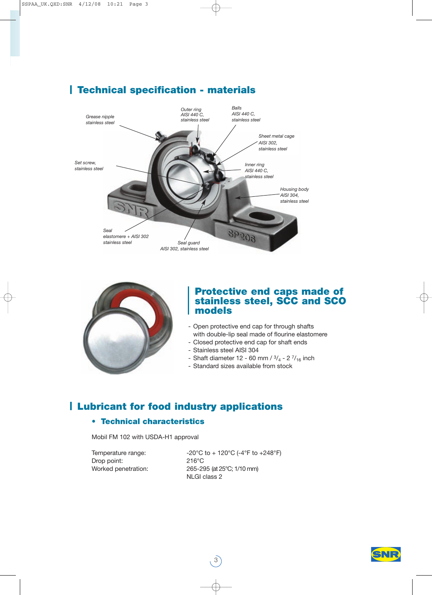

### **Technical specification - materials**



### **Protective end caps made of stainless steel, SCC and SCO models**

- Open protective end cap for through shafts with double-lip seal made of flourine elastomere
- Closed protective end cap for shaft ends
- Stainless steel AISI 304
- Shaft diameter 12 60 mm /  $\frac{3}{4}$  2  $\frac{7}{16}$  inch
- Standard sizes available from stock

### **Lubricant for food industry applications**

### **• Technical characteristics**

Mobil FM 102 with USDA-H1 approval

Drop point: 216°C

Temperature range:  $-20^{\circ}$ C to + 120°C (-4°F to +248°F) Worked penetration: 265-295 (at 25°C; 1/10 mm) NLGI class 2

3

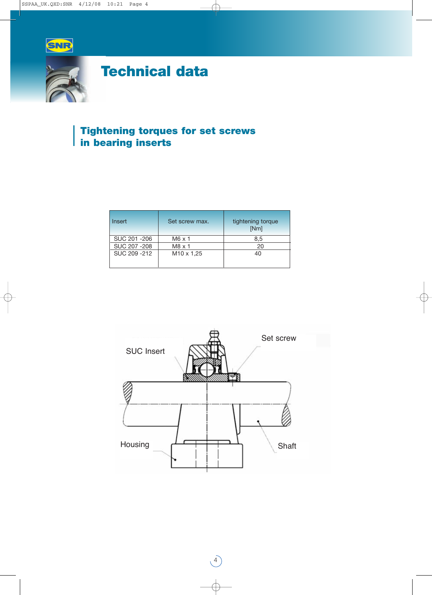

# **Technical data**

### **Tightening torques for set screws in bearing inserts**

| Insert        | Set screw max.    | tightening torque<br>[Nm] |
|---------------|-------------------|---------------------------|
| SUC 201-206   | $M6 \times 1$     | 8,5                       |
| SUC 207 - 208 | $M8 \times 1$     | 20                        |
| SUC 209-212   | $M10 \times 1,25$ | 40                        |



 $\begin{pmatrix} 4 \end{pmatrix}$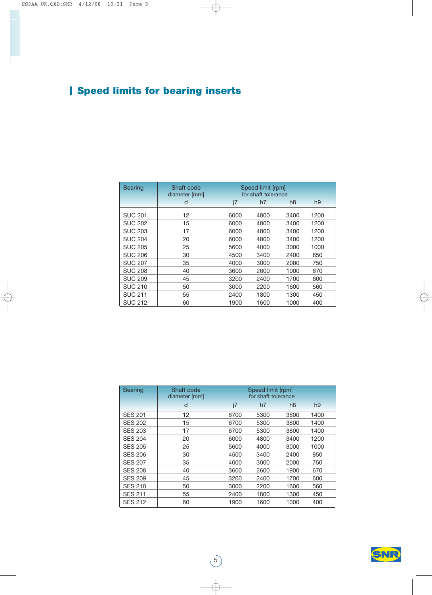## **Speed limits for bearing inserts**

| <b>Bearing</b> | Shaft code<br>diameter [mm] |          | Speed limit [rpm]<br>for shaft tolerance |      |      |  |  |  |  |  |
|----------------|-----------------------------|----------|------------------------------------------|------|------|--|--|--|--|--|
|                | d                           | i7<br>h7 |                                          |      |      |  |  |  |  |  |
| <b>SUC 201</b> | 12                          | 6000     | 4800                                     | 3400 | 1200 |  |  |  |  |  |
| <b>SUC 202</b> | 15                          | 6000     | 4800                                     | 3400 | 1200 |  |  |  |  |  |
| <b>SUC 203</b> | 17                          | 6000     | 4800                                     | 3400 | 1200 |  |  |  |  |  |
| <b>SUC 204</b> | 20                          | 6000     | 4800                                     | 3400 | 1200 |  |  |  |  |  |
| <b>SUC 205</b> | 25                          | 5600     | 4000                                     | 3000 | 1000 |  |  |  |  |  |
| <b>SUC 206</b> | 30                          | 4500     | 3400                                     | 2400 | 850  |  |  |  |  |  |
| <b>SUC 207</b> | 35                          | 4000     | 3000                                     | 2000 | 750  |  |  |  |  |  |
| <b>SUC 208</b> | 40                          | 3600     | 2600                                     | 1900 | 670  |  |  |  |  |  |
| <b>SUC 209</b> | 45                          | 3200     | 2400                                     | 1700 | 600  |  |  |  |  |  |
| <b>SUC 210</b> | 50                          | 3000     | 2200                                     | 1600 | 560  |  |  |  |  |  |
| <b>SUC 211</b> | 55                          | 2400     | 1800                                     | 1300 | 450  |  |  |  |  |  |
| <b>SUC 212</b> | 60                          | 1900     | 1600                                     | 1000 | 400  |  |  |  |  |  |

| <b>Bearing</b> | Shaft code<br>diameter [mm] |      |      |      |      |
|----------------|-----------------------------|------|------|------|------|
|                | d                           | i7   | h7   | h8   | h9   |
| <b>SES 201</b> | 12                          | 6700 | 5300 | 3800 | 1400 |
| <b>SES 202</b> | 15                          | 6700 | 5300 | 3800 | 1400 |
| <b>SES 203</b> | 17                          | 6700 | 5300 | 3800 | 1400 |
| <b>SES 204</b> | 20                          | 6000 | 4800 | 3400 | 1200 |
| <b>SES 205</b> | 25                          | 5600 | 4000 | 3000 | 1000 |
| <b>SES 206</b> | 30                          | 4500 | 3400 | 2400 | 850  |
| <b>SES 207</b> | 35                          | 4000 | 3000 | 2000 | 750  |
| <b>SES 208</b> | 40                          | 3600 | 2600 | 1900 | 670  |
| <b>SES 209</b> | 45                          | 3200 | 2400 | 1700 | 600  |
| <b>SES 210</b> | 50                          | 3000 | 2200 | 1600 | 560  |
| <b>SES 211</b> | 55                          | 2400 | 1800 | 1300 | 450  |
| <b>SES 212</b> | 60                          | 1900 | 1600 | 1000 | 400  |

 $\circ$ 

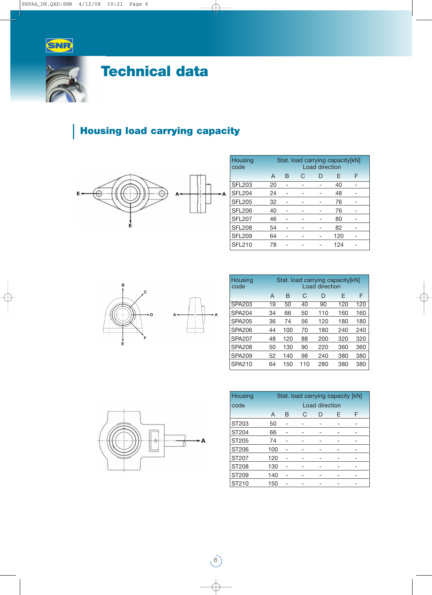



# **Technical data**

## **Housing load carrying capacity**



| Housing<br>code |    | Stat. load carrying capacity[kN]<br><b>Load direction</b> |   |   |     |  |  |  |  |  |  |  |  |  |
|-----------------|----|-----------------------------------------------------------|---|---|-----|--|--|--|--|--|--|--|--|--|
|                 | A  | B                                                         | F | F |     |  |  |  |  |  |  |  |  |  |
| <b>SFL203</b>   | 20 |                                                           |   |   | 40  |  |  |  |  |  |  |  |  |  |
| <b>SFL204</b>   | 24 |                                                           |   |   | 48  |  |  |  |  |  |  |  |  |  |
| <b>SFL205</b>   | 32 |                                                           |   |   | 76  |  |  |  |  |  |  |  |  |  |
| <b>SFL206</b>   | 40 |                                                           |   |   | 76  |  |  |  |  |  |  |  |  |  |
| <b>SFL207</b>   | 46 |                                                           |   |   | 80  |  |  |  |  |  |  |  |  |  |
| <b>SFL208</b>   | 54 |                                                           |   |   | 82  |  |  |  |  |  |  |  |  |  |
| <b>SFL209</b>   | 64 |                                                           |   |   | 120 |  |  |  |  |  |  |  |  |  |
| <b>SFL210</b>   | 78 |                                                           |   |   | 124 |  |  |  |  |  |  |  |  |  |



| Housing<br>code | Stat. load carrying capacity[kN]<br>Load direction |     |     |     |     |     |  |  |  |  |  |  |  |
|-----------------|----------------------------------------------------|-----|-----|-----|-----|-----|--|--|--|--|--|--|--|
|                 | A                                                  | B   | F   | F   |     |     |  |  |  |  |  |  |  |
| SPA203          | 19                                                 | 50  | 40  | 90  | 120 | 120 |  |  |  |  |  |  |  |
| <b>SPA204</b>   | 34                                                 | 66  | 50  | 110 | 160 | 160 |  |  |  |  |  |  |  |
| SPA205          | 36                                                 | 74  | 56  | 120 | 180 | 180 |  |  |  |  |  |  |  |
| SPA206          | 44                                                 | 100 | 70  | 180 | 240 | 240 |  |  |  |  |  |  |  |
| <b>SPA207</b>   | 48                                                 | 120 | 88  | 200 | 320 | 320 |  |  |  |  |  |  |  |
| <b>SPA208</b>   | 50                                                 | 130 | 90  | 220 | 360 | 360 |  |  |  |  |  |  |  |
| <b>SPA209</b>   | 52                                                 | 140 | 98  | 240 | 380 | 380 |  |  |  |  |  |  |  |
| SPA210          | 64                                                 | 150 | 110 | 280 | 380 | 380 |  |  |  |  |  |  |  |



6

 $+A$ 

| Housing      | Stat. load carrying capacity [kN] |   |   |  |  |  |  |  |  |  |  |  |  |
|--------------|-----------------------------------|---|---|--|--|--|--|--|--|--|--|--|--|
| code         | Load direction                    |   |   |  |  |  |  |  |  |  |  |  |  |
|              | A                                 | F | F |  |  |  |  |  |  |  |  |  |  |
| ST203        | 50                                |   |   |  |  |  |  |  |  |  |  |  |  |
| ST204        | 66                                |   |   |  |  |  |  |  |  |  |  |  |  |
| ST205        | 74                                |   |   |  |  |  |  |  |  |  |  |  |  |
| ST206        | 100                               |   |   |  |  |  |  |  |  |  |  |  |  |
| ST207        | 120                               |   |   |  |  |  |  |  |  |  |  |  |  |
| <b>ST208</b> | 130                               |   |   |  |  |  |  |  |  |  |  |  |  |
| ST209        | 140                               |   |   |  |  |  |  |  |  |  |  |  |  |
| ST210        | 150                               |   |   |  |  |  |  |  |  |  |  |  |  |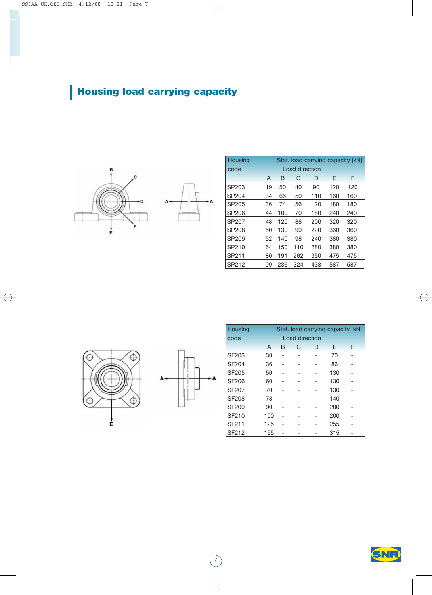# **Housing load carrying capacity**



| Housing |    |     |                |     |     | Stat. load carrying capacity [kN] |
|---------|----|-----|----------------|-----|-----|-----------------------------------|
| code    |    |     | Load direction |     |     |                                   |
|         | A  | B   | F              | F   |     |                                   |
| SP203   | 19 | 50  | 40             | 90  | 120 | 120                               |
| SP204   | 34 | 66  | 50             | 110 | 160 | 160                               |
| SP205   | 36 | 74  | 56             | 120 | 180 | 180                               |
| SP206   | 44 | 100 | 70             | 180 | 240 | 240                               |
| SP207   | 48 | 120 | 88             | 200 | 320 | 320                               |
| SP208   | 50 | 130 | 90             | 220 | 360 | 360                               |
| SP209   | 52 | 140 | 98             | 240 | 380 | 380                               |
| SP210   | 64 | 150 | 110            | 280 | 380 | 380                               |
| SP211   | 80 | 191 | 262            | 350 | 475 | 475                               |
| SP212   | 99 | 236 | 324            | 433 | 587 | 587                               |





 $\bigcirc$ 

| Housing      | Stat. load carrying capacity [kN] |  |                |  |     |  |  |  |  |  |  |  |
|--------------|-----------------------------------|--|----------------|--|-----|--|--|--|--|--|--|--|
| code         |                                   |  | Load direction |  |     |  |  |  |  |  |  |  |
|              | F<br>F<br>A<br>C<br>B<br>D        |  |                |  |     |  |  |  |  |  |  |  |
| <b>SF203</b> | 30                                |  |                |  | 70  |  |  |  |  |  |  |  |
| SF204        | 36                                |  |                |  | 86  |  |  |  |  |  |  |  |
| <b>SF205</b> | 50                                |  |                |  | 130 |  |  |  |  |  |  |  |
| <b>SF206</b> | 60                                |  |                |  | 130 |  |  |  |  |  |  |  |
| <b>SF207</b> | 70                                |  |                |  | 130 |  |  |  |  |  |  |  |
| <b>SF208</b> | 78                                |  |                |  | 140 |  |  |  |  |  |  |  |
| <b>SF209</b> | 90                                |  |                |  | 200 |  |  |  |  |  |  |  |
| SF210        | 100                               |  |                |  | 200 |  |  |  |  |  |  |  |
| SF211        | 125                               |  |                |  | 255 |  |  |  |  |  |  |  |
| SF212        | 155                               |  |                |  | 315 |  |  |  |  |  |  |  |

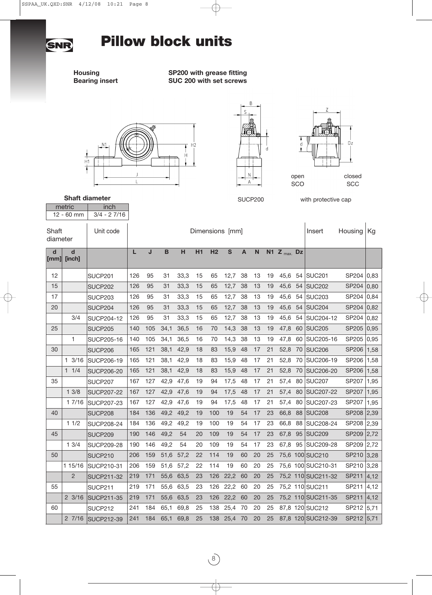

**Housing SP200 with grease fitting Bearing insert SUC 200 with set screws**







**Shaft diameter**

metric | inch

SUCP200 with protective cap

|             | 12 - 60 mm                               | $3/4 - 27/16$     |     |                 |      |      |    |                |             |    |    |    |                 |    |                    |              |      |
|-------------|------------------------------------------|-------------------|-----|-----------------|------|------|----|----------------|-------------|----|----|----|-----------------|----|--------------------|--------------|------|
|             | Shaft<br>Unit code<br>diameter           |                   |     | Dimensions [mm] |      |      |    |                |             |    |    |    |                 |    | Insert             | Housing      | Kg   |
| $\mathbf d$ | $\overline{\mathbf{d}}$<br>$[mm]$ [inch] |                   | L   | J               | B    | н    | H1 | H <sub>2</sub> | S           | A  | N  |    | N1 $Z_{max}$ Dz |    |                    |              |      |
| 12          |                                          | SUCP201           | 126 | 95              | 31   | 33,3 | 15 | 65             | 12,7        | 38 | 13 | 19 | 45,6            | 54 | <b>SUC201</b>      | SP204        | 0,83 |
| 15          |                                          | <b>SUCP202</b>    | 126 | 95              | 31   | 33,3 | 15 | 65             | 12,7        | 38 | 13 | 19 | 45,6            |    | 54   SUC202        | SP204        | 0,80 |
| 17          |                                          | <b>SUCP203</b>    | 126 | 95              | 31   | 33,3 | 15 | 65             | 12,7        | 38 | 13 | 19 | 45,6            | 54 | <b>SUC203</b>      | SP204        | 0,84 |
| 20          |                                          | SUCP204           | 126 | 95              | 31   | 33,3 | 15 | 65             | 12,7        | 38 | 13 | 19 | 45,6            |    | 54   SUC204        | SP204        | 0,82 |
|             | 3/4                                      | SUCP204-12        | 126 | 95              | 31   | 33,3 | 15 | 65             | 12,7        | 38 | 13 | 19 | 45,6            | 54 | SUC204-12          | SP204        | 0,82 |
| 25          |                                          | SUCP205           | 140 | 105             | 34,1 | 36,5 | 16 | 70             | 14,3        | 38 | 13 | 19 | 47,8            |    | 60 SUC205          | SP205        | 0,95 |
|             | 1                                        | <b>SUCP205-16</b> | 140 | 105             | 34,1 | 36,5 | 16 | 70             | 14,3        | 38 | 13 | 19 | 47,8            | 60 | SUC205-16          | SP205        | 0,95 |
| 30          |                                          | SUCP206           | 165 | 121             | 38,1 | 42,9 | 18 | 83             | 15,9        | 48 | 17 | 21 | 52,8            |    | 70 SUC206          | SP206        | 1,58 |
|             | $1 \frac{3}{16}$                         | SUCP206-19        | 165 | 121             | 38,1 | 42,9 | 18 | 83             | 15,9        | 48 | 17 | 21 | 52,8            | 70 | SUC206-19          | SP206        | 1,58 |
|             | 11/4                                     | <b>SUCP206-20</b> | 165 | 121             | 38,1 | 42,9 | 18 | 83             | 15,9        | 48 | 17 | 21 | 52,8            | 70 | <b>SUC206-20</b>   | SP206        | 1,58 |
| 35          |                                          | SUCP207           | 167 | 127             | 42,9 | 47.6 | 19 | 94             | 17,5        | 48 | 17 | 21 | 57,4            |    | 80 SUC207          | SP207        | 1,95 |
|             | 13/8                                     | <b>SUCP207-22</b> | 167 | 127             | 42,9 | 47,6 | 19 | 94             | 17,5        | 48 | 17 | 21 | 57,4            | 80 | <b>SUC207-22</b>   | <b>SP207</b> | 1,95 |
|             | 17/16                                    | SUCP207-23        | 167 | 127             | 42,9 | 47,6 | 19 | 94             | 17,5        | 48 | 17 | 21 | 57,4            | 80 | SUC207-23          | SP207        | 1,95 |
| 40          |                                          | <b>SUCP208</b>    | 184 | 136             | 49,2 | 49,2 | 19 | 100            | 19          | 54 | 17 | 23 | 66,8            |    | 88 SUC208          | SP208        | 2,39 |
|             | 11/2                                     | <b>SUCP208-24</b> | 184 | 136             | 49,2 | 49,2 | 19 | 100            | 19          | 54 | 17 | 23 | 66,8            | 88 | SUC208-24          | <b>SP208</b> | 2,39 |
| 45          |                                          | SUCP209           | 190 | 146             | 49,2 | 54   | 20 | 109            | 19          | 54 | 17 | 23 | 67,8            |    | 95 SUC209          | <b>SP209</b> | 2,72 |
|             | 13/4                                     | <b>SUCP209-28</b> | 190 | 146             | 49,2 | 54   | 20 | 109            | 19          | 54 | 17 | 23 | 67,8            | 95 | SUC209-28          | SP209        | 2,72 |
| 50          |                                          | <b>SUCP210</b>    | 206 | 159             | 51,6 | 57,2 | 22 | 114            | 19          | 60 | 20 | 25 |                 |    | 75,6 100 SUC210    | SP210        | 3,28 |
|             | 1 15/16                                  | SUCP210-31        | 206 | 159             | 51,6 | 57,2 | 22 | 114            | 19          | 60 | 20 | 25 |                 |    | 75,6 100 SUC210-31 | SP210        | 3,28 |
|             | $\overline{2}$                           | <b>SUCP211-32</b> | 219 | 171             | 55,6 | 63,5 | 23 | 126            | 22,2        | 60 | 20 | 25 |                 |    | 75,2 110 SUC211-32 | SP211        | 4,12 |
| 55          |                                          | SUCP211           | 219 | 171             | 55,6 | 63,5 | 23 | 126            | 22,2        | 60 | 20 | 25 |                 |    | 75,2 110 SUC211    | SP211        | 4,12 |
|             | $2 \frac{3}{16}$                         | SUCP211-35        | 219 | 171             | 55,6 | 63,5 | 23 | 126            | 22,2        | 60 | 20 | 25 |                 |    | 75,2 110 SUC211-35 | SP211        | 4,12 |
| 60          |                                          | SUCP212           | 241 | 184             | 65,1 | 69,8 | 25 | 138            | 25,4        | 70 | 20 | 25 |                 |    | 87,8 120 SUC212    | SP212        | 5,71 |
|             | 27/16                                    | <b>SUCP212-39</b> | 241 | 184             | 65,1 | 69,8 | 25 |                | 138 25,4 70 |    | 20 | 25 |                 |    | 87,8 120 SUC212-39 | SP212        | 5,71 |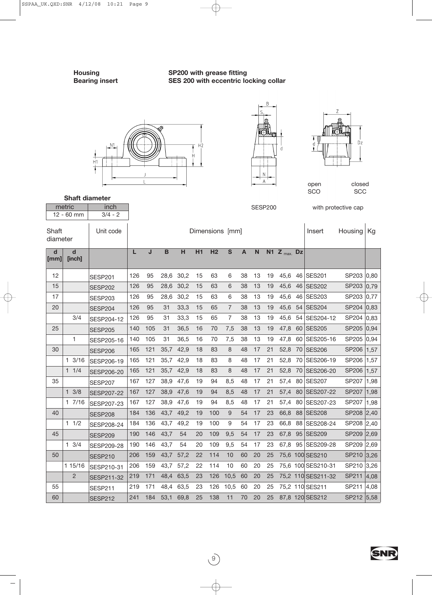**Shaft diameter**

**Housing SP200 with grease fitting Bearing insert SES 200 with eccentric locking collar**







open SCO

**SCC** 

closed

| metric<br>inch                 |                  |                |                 |     |             |           |    |                |                |              | <b>SESP200</b> |    |                 | with protective cap |                    |            |      |
|--------------------------------|------------------|----------------|-----------------|-----|-------------|-----------|----|----------------|----------------|--------------|----------------|----|-----------------|---------------------|--------------------|------------|------|
|                                | 12 - 60 mm       | $3/4 - 2$      |                 |     |             |           |    |                |                |              |                |    |                 |                     |                    |            |      |
| Shaft<br>Unit code<br>diameter |                  |                | Dimensions [mm] |     |             |           |    |                |                |              |                |    |                 | Insert              | Housing            | Kg         |      |
| $\mathbf d$<br>[mm]            | d<br>[inch]      |                | L               | J   | $\mathbf B$ | H         | H1 | H <sub>2</sub> | $\mathbf{s}$   | $\mathbf{A}$ | $\mathsf{N}$   |    | N1 $Z_{max}$ Dz |                     |                    |            |      |
| 12                             |                  | <b>SESP201</b> | 126             | 95  |             | 28,6 30,2 | 15 | 63             | 6              | 38           | 13             | 19 | 45,6            |                     | 46 SES201          | SP203 0,80 |      |
| 15                             |                  | <b>SESP202</b> | 126             | 95  | 28,6        | 30,2      | 15 | 63             | 6              | 38           | 13             | 19 | 45,6            |                     | 46 SES202          | SP203 0,79 |      |
| 17                             |                  | <b>SESP203</b> | 126             | 95  | 28,6        | 30,2      | 15 | 63             | 6              | 38           | 13             | 19 | 45,6            |                     | 46 SES203          | SP203 0,77 |      |
| 20                             |                  | <b>SESP204</b> | 126             | 95  | 31          | 33,3      | 15 | 65             | $\overline{7}$ | 38           | 13             | 19 | 45,6            | 54                  | <b>SES204</b>      | SP204 0,83 |      |
|                                | 3/4              | SESP204-12     | 126             | 95  | 31          | 33,3      | 15 | 65             | $\overline{7}$ | 38           | 13             | 19 | 45,6            | 54                  | SES204-12          | SP204 0,83 |      |
| 25                             |                  | <b>SESP205</b> | 140             | 105 | 31          | 36,5      | 16 | 70             | 7,5            | 38           | 13             | 19 | 47,8            |                     | 60 SES205          | SP205 0,94 |      |
|                                | 1                | SESP205-16     | 140             | 105 | 31          | 36,5      | 16 | 70             | 7,5            | 38           | 13             | 19 | 47,8            |                     | 60 SES205-16       | SP205 0,94 |      |
| 30                             |                  | <b>SESP206</b> | 165             | 121 | 35,7        | 42,9      | 18 | 83             | 8              | 48           | 17             | 21 | 52,8            | 70                  | <b>SES206</b>      | SP206 1,57 |      |
|                                | $1 \frac{3}{16}$ | SESP206-19     | 165             | 121 | 35,7        | 42,9      | 18 | 83             | 8              | 48           | 17             | 21 | 52,8            | 70                  | SES206-19          | SP206 1,57 |      |
|                                | 11/4             | SESP206-20     | 165             | 121 | 35,7        | 42,9      | 18 | 83             | 8              | 48           | 17             | 21 | 52,8            | 70                  | SES206-20          | SP206      | 1,57 |
| 35                             |                  | <b>SESP207</b> | 167             | 127 | 38,9        | 47,6      | 19 | 94             | 8,5            | 48           | 17             | 21 | 57,4            |                     | 80 SES207          | SP207      | 1,98 |
|                                | $1 \frac{3}{8}$  | SESP207-22     | 167             | 127 | 38,9        | 47,6      | 19 | 94             | 8,5            | 48           | 17             | 21 | 57,4            | 80                  | <b>SES207-22</b>   | SP207 1,98 |      |
|                                | 17/16            | SESP207-23     | 167             | 127 | 38,9        | 47,6      | 19 | 94             | 8,5            | 48           | 17             | 21 | 57,4            | 80                  | SES207-23          | SP207 1,98 |      |
| 40                             |                  | <b>SESP208</b> | 184             | 136 | 43,7        | 49,2      | 19 | 100            | 9              | 54           | 17             | 23 | 66,8            | 88                  | <b>SES208</b>      | SP208 2,40 |      |
|                                | $1 \t1/2$        | SESP208-24     | 184             | 136 | 43,7        | 49,2      | 19 | 100            | 9              | 54           | 17             | 23 | 66,8            |                     | 88 SES208-24       | SP208 2,40 |      |
| 45                             |                  | <b>SESP209</b> | 190             | 146 | 43,7        | 54        | 20 | 109            | 9,5            | 54           | 17             | 23 | 67,8            | 95                  | <b>SES209</b>      | SP209 2,69 |      |
|                                | $1 \t3/4$        | SESP209-28     | 190             | 146 | 43,7        | 54        | 20 | 109            | 9,5            | 54           | 17             | 23 | 67,8            |                     | 95 SES209-28       | SP209 2,69 |      |
| 50                             |                  | <b>SESP210</b> | 206             | 159 | 43,7        | 57,2      | 22 | 114            | 10             | 60           | 20             | 25 |                 |                     | 75,6 100 SES210    | SP210 3,26 |      |
|                                | 1 15/16          | SESP210-31     | 206             | 159 | 43,7        | 57,2      | 22 | 114            | 10             | 60           | 20             | 25 |                 |                     | 75,6 100 SES210-31 | SP210 3,26 |      |
|                                | $\overline{2}$   | SESP211-32     | 219             | 171 | 48,4        | 63,5      | 23 | 126            | 10,5           | 60           | 20             | 25 |                 |                     | 75,2 110 SES211-32 | SP211 4,08 |      |
| 55                             |                  | <b>SESP211</b> | 219             | 171 | 48.4        | 63,5      | 23 | 126            | 10,5           | 60           | 20             | 25 |                 |                     | 75,2 110 SES211    | SP211 4,08 |      |
| 60                             |                  | <b>SESP212</b> | 241             | 184 | 53,1        | 69,8      | 25 | 138            | 11             | 70           | 20             | 25 |                 |                     | 87,8 120 SES212    | SP212 5,58 |      |

 $\circled{9}$ 

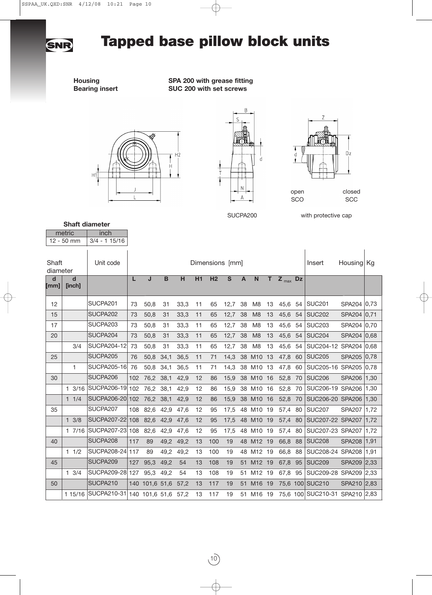# **Tapped base pillow block units**

**SNR** 

**Housing**<br>**Bearing insert SUC 200 with set screws**<br>**SUC 200 with set screws SUC 200 with set screws** 





 $\overline{B}$ 



SUCPA200 with protective cap

#### metric inch **Shaft diameter**

|                   | 12 - 50 mm       | $3/4 - 115/16$       |     |                     |             |      |    |     |                 |              |                |    |              |    |                                |               |      |
|-------------------|------------------|----------------------|-----|---------------------|-------------|------|----|-----|-----------------|--------------|----------------|----|--------------|----|--------------------------------|---------------|------|
| Shaft<br>diameter |                  | Unit code            |     |                     |             |      |    |     | Dimensions [mm] |              |                |    |              |    | Insert                         | Housing Kg    |      |
| d<br>[mm]         | d<br>[inch]      |                      | L   | J                   | $\mathbf B$ | н    | H1 | H2  | $\mathbf{s}$    | $\mathsf{A}$ | $\mathsf{N}$   | T. | $Z_{max}$ Dz |    |                                |               |      |
| 12                |                  | SUCPA <sub>201</sub> | 73  | 50,8                | 31          | 33,3 | 11 | 65  | 12,7            | 38           | M <sub>8</sub> | 13 | 45,6         | 54 | <b>SUC201</b>                  | SPA204 0,73   |      |
| 15                |                  | SUCPA202             | 73  | 50,8                | 31          | 33,3 | 11 | 65  | 12,7            | 38           | M <sub>8</sub> | 13 | 45,6         | 54 | <b>SUC202</b>                  | SPA204 0,71   |      |
| 17                |                  | SUCPA203             | 73  | 50,8                | 31          | 33,3 | 11 | 65  | 12,7            | 38           | M <sub>8</sub> | 13 | 45,6         | 54 | <b>SUC203</b>                  | SPA204 0,70   |      |
| 20                |                  | SUCPA204             | 73  | 50,8                | 31          | 33,3 | 11 | 65  | 12,7            | 38           | M <sub>8</sub> | 13 | 45,6         | 54 | <b>SUC204</b>                  | SPA204 0.68   |      |
|                   | 3/4              | <b>SUCPA204-12</b>   | 73  | 50,8                | 31          | 33,3 | 11 | 65  | 12,7            | 38           | M <sub>8</sub> | 13 | 45,6         | 54 | SUC204-12 SPA204 0,68          |               |      |
| 25                |                  | SUCPA205             | 76  | 50,8                | 34,1        | 36,5 | 11 | 71  | 14,3            |              | 38 M10 13      |    | 47,8         | 60 | <b>SUC205</b>                  | <b>SPA205</b> | 0,78 |
|                   | 1                | <b>SUCPA205-16</b>   | 76  | 50,8 34,1           |             | 36,5 | 11 | 71  | 14,3            |              | 38 M10 13      |    | 47,8         | 60 | SUC205-16 SPA205 0,78          |               |      |
| 30                |                  | SUCPA206             | 102 | 76,2 38,1           |             | 42,9 | 12 | 86  | 15,9            |              | 38 M10 16      |    | 52,8 70      |    | <b>SUC206</b>                  | <b>SPA206</b> | 1,30 |
|                   | $1 \frac{3}{16}$ | SUCPA206-19 102      |     | 76,2 38,1           |             | 42.9 | 12 | 86  | 15.9            |              | 38 M10 16      |    | 52,8 70      |    | SUC206-19 SPA206               |               | 1.30 |
|                   | 11/4             | SUCPA206-20 102      |     | 76,2 38,1           |             | 42,9 | 12 | 86  | 15,9            |              | 38 M10 16      |    | 52,8 70      |    | SUC206-20 SPA206               |               | 1,30 |
| 35                |                  | SUCPA207             | 108 | 82,6 42,9           |             | 47,6 | 12 | 95  | 17,5            |              | 48 M10 19      |    | 57,4 80      |    | SUC <sub>207</sub>             | <b>SPA207</b> | 1,72 |
|                   | $1 \frac{3}{8}$  | SUCPA207-22          | 108 | 82,6                | 42,9        | 47,6 | 12 | 95  | 17,5            |              | 48 M10 19      |    | 57,4 80      |    | SUC207-22 SPA207               |               | 1,72 |
|                   | 17/16            | SUCPA207-23          | 108 | 82,6 42,9           |             | 47,6 | 12 | 95  | 17,5            |              | 48 M10 19      |    | 57,4 80      |    | SUC207-23 SPA207               |               | 1,72 |
| 40                |                  | SUCPA208             | 117 | 89                  | 49,2        | 49,2 | 13 | 100 | 19              |              | 48 M12 19      |    | 66,8         | 88 | <b>SUC208</b>                  | <b>SPA208</b> | 1,91 |
|                   | 11/2             | SUCPA208-24          | 117 | 89                  | 49,2        | 49,2 | 13 | 100 | 19              |              | 48 M12 19      |    | 66,8         | 88 | SUC208-24 SPA208               |               | 1,91 |
| 45                |                  | SUCPA209             | 127 | 95,3                | 49,2        | 54   | 13 | 108 | 19              |              | 51 M12 19      |    | 67,8         | 95 | <b>SUC209</b>                  | <b>SPA209</b> | 2,33 |
|                   | $1 \frac{3}{4}$  | SUCPA209-28          | 127 | 95.3                | 49.2        | 54   | 13 | 108 | 19              | 51           | M12 19         |    | 67,8         | 95 | SUC209-28 SPA209               |               | 2,33 |
| 50                |                  | SUCPA210             |     | 140 101,6 51,6 57,2 |             |      | 13 | 117 | 19              | 51           | M16 19         |    |              |    | 75,6 100 SUC210                | <b>SPA210</b> | 2,83 |
|                   | 1 15/16          | SUCPA210-31          |     | 140 101,6 51,6 57,2 |             |      | 13 | 117 | 19              |              | 51 M16 19      |    |              |    | 75,6 100 SUC210-31 SPA210 2,83 |               |      |

 $(10)$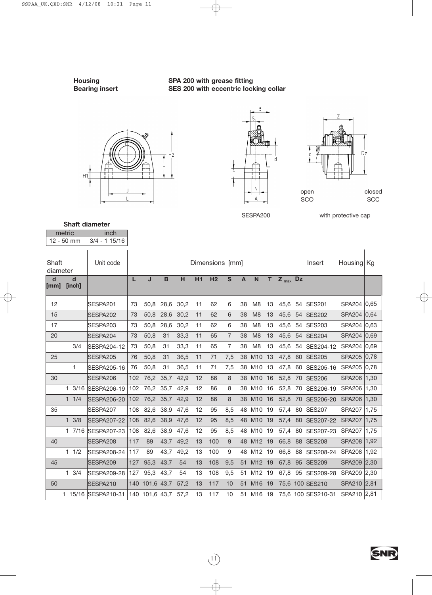**Housing**<br>**Bearing insert SES 200 with eccentric lock**<br>**SES 200 with eccentric lock SES 200 with eccentric locking collar** 



٦





SESPA200 with protective cap

#### metric inch **Shaft diameter**

 $\mathbb{F}$ 

|                     | <b>IIIQUIQ</b><br>$12 - 50$ mm | 111111<br>$3/4 - 115/16$ |     |                     |             |      |    |                 |                |              |                |    |              |    |                    |               |      |
|---------------------|--------------------------------|--------------------------|-----|---------------------|-------------|------|----|-----------------|----------------|--------------|----------------|----|--------------|----|--------------------|---------------|------|
| Shaft<br>diameter   |                                | Unit code                |     |                     |             |      |    | Dimensions [mm] |                |              |                |    |              |    | Insert             | Housing Kg    |      |
| $\mathbf d$<br>[mm] | d<br>[inch]                    |                          | L   | J                   | $\mathbf B$ | H    | H1 | H <sub>2</sub>  | $\mathbf{s}$   | $\mathbf{A}$ | $\mathsf{N}$   | T  | $Z_{max}$ Dz |    |                    |               |      |
| 12                  |                                | SESPA201                 | 73  | 50,8                | 28,6        | 30,2 | 11 | 62              | 6              | 38           | M <sub>8</sub> | 13 | 45,6         | 54 | <b>SES201</b>      | SPA204 0,65   |      |
| 15                  |                                | SESPA202                 | 73  | 50,8                | 28,6        | 30,2 | 11 | 62              | 6              | 38           | M <sub>8</sub> | 13 | 45,6         | 54 | <b>SES202</b>      | SPA204 0,64   |      |
| 17                  |                                | SESPA203                 | 73  | 50,8                | 28,6        | 30,2 | 11 | 62              | 6              | 38           | M <sub>8</sub> | 13 | 45,6         | 54 | <b>SES203</b>      | SPA204 0,63   |      |
| 20                  |                                | SESPA204                 | 73  | 50,8                | 31          | 33,3 | 11 | 65              | $\overline{7}$ | 38           | M <sub>8</sub> | 13 | 45,6         | 54 | <b>SES204</b>      | SPA204 0,69   |      |
|                     | 3/4                            | <b>SESPA204-12</b>       | 73  | 50,8                | 31          | 33,3 | 11 | 65              | 7              | 38           | M <sub>8</sub> | 13 | 45,6         | 54 | SES204-12          | SPA204 0,69   |      |
| 25                  |                                | SESPA205                 | 76  | 50,8                | 31          | 36,5 | 11 | 71              | 7,5            |              | 38 M10         | 13 | 47,8         | 60 | <b>SES205</b>      | SPA205 0,78   |      |
|                     | 1                              | SESPA205-16              | 76  | 50,8                | 31          | 36,5 | 11 | 71              | 7,5            |              | 38 M10         | 13 | 47,8         | 60 | SES205-16          | SPA205 0,78   |      |
| 30                  |                                | SESPA206                 | 102 | 76,2                | 35,7        | 42,9 | 12 | 86              | 8              |              | 38 M10         | 16 | 52,8 70      |    | <b>SES206</b>      | SPA206        | 1,30 |
|                     |                                | 1 3/16 SESPA206-19       | 102 | 76,2 35,7           |             | 42,9 | 12 | 86              | 8              |              | 38 M10         | 16 | 52,8 70      |    | SES206-19          | <b>SPA206</b> | 1,30 |
|                     | 11/4                           | <b>SESPA206-20</b>       | 102 |                     | 76,2 35,7   | 42,9 | 12 | 86              | 8              |              | 38 M10         | 16 | 52,8         | 70 | SES206-20          | <b>SPA206</b> | 1,30 |
| 35                  |                                | SESPA207                 | 108 | 82,6                | 38,9        | 47,6 | 12 | 95              | 8,5            |              | 48 M10 19      |    | 57,4 80      |    | <b>SES207</b>      | <b>SPA207</b> | 1,75 |
|                     | $1 \frac{3}{8}$                | <b>SESPA207-22</b>       | 108 | 82,6                | 38,9        | 47,6 | 12 | 95              | 8,5            |              | 48 M10 19      |    | 57,4 80      |    | SES207-22          | <b>SPA207</b> | 1,75 |
|                     | 17/16                          | SESPA207-23              | 108 | 82,6                | 38,9        | 47,6 | 12 | 95              | 8,5            |              | 48 M10 19      |    | 57,4 80      |    | SES207-23          | <b>SPA207</b> | 1,75 |
| 40                  |                                | SESPA208                 | 117 | 89                  | 43,7        | 49,2 | 13 | 100             | 9              |              | 48 M12 19      |    | 66,8         | 88 | <b>SES208</b>      | <b>SPA208</b> | 1,92 |
|                     | $1 \frac{1}{2}$                | <b>SESPA208-24</b>       | 117 | 89                  | 43,7        | 49,2 | 13 | 100             | 9              |              | 48 M12 19      |    | 66,8         | 88 | SES208-24          | <b>SPA208</b> | 1,92 |
| 45                  |                                | SESPA209                 | 127 | 95,3                | 43,7        | 54   | 13 | 108             | 9,5            | 51           | M12 19         |    | 67,8         | 95 | <b>SES209</b>      | <b>SPA209</b> | 2,30 |
|                     | $1 \frac{3}{4}$                | <b>SESPA209-28</b>       | 127 | 95,3                | 43,7        | 54   | 13 | 108             | 9,5            | 51           | M12 19         |    | 67,8         | 95 | SES209-28          | SPA209 2,30   |      |
| 50                  |                                | SESPA210                 |     | 140 101,6 43,7      |             | 57,2 | 13 | 117             | 10             | 51           | M16 19         |    |              |    | 75,6 100 SES210    | SPA210 2,81   |      |
|                     |                                | 15/16 SESPA210-31        |     | 140 101,6 43,7 57,2 |             |      | 13 | 117             | 10             |              | 51 M16 19      |    |              |    | 75,6 100 SES210-31 | SPA210 2,81   |      |

 $\begin{pmatrix} 1 \\ 1 \end{pmatrix}$ 

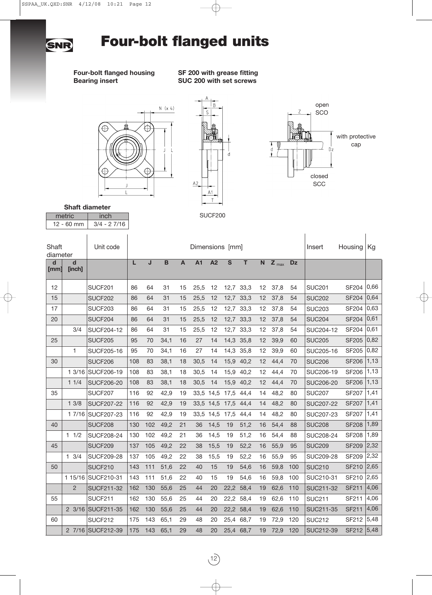

# **Four-bolt flanged units**

**Four-bolt flanged housing SF 200 with grease fitting Bearing insert SUC 200 with set screws**







**Shaft diameter**

| טוועוג עועוווטגטו |               |  |  |  |  |  |  |  |  |  |  |
|-------------------|---------------|--|--|--|--|--|--|--|--|--|--|
| metric            | inch          |  |  |  |  |  |  |  |  |  |  |
| $12 - 60$ mm      | $3/4 - 27/16$ |  |  |  |  |  |  |  |  |  |  |

| Shaft<br>diameter   |                  | Unit code          |     |       |             |              | Dimensions [mm] |           |                         |                         |    |           |           | Insert           | Housing      | Kg   |
|---------------------|------------------|--------------------|-----|-------|-------------|--------------|-----------------|-----------|-------------------------|-------------------------|----|-----------|-----------|------------------|--------------|------|
| $\mathbf d$<br>[mm] | d<br>[inch]      |                    | L   | J     | $\mathbf B$ | $\mathbf{A}$ | <b>A1</b>       | A2        | $\overline{\mathbf{s}}$ | $\overline{\mathsf{T}}$ | N. | $Z_{max}$ | <b>Dz</b> |                  |              |      |
| 12                  |                  | <b>SUCF201</b>     | 86  | 64    | 31          | 15           | 25,5            | 12        | 12,7                    | 33,3                    | 12 | 37,8      | 54        | <b>SUC201</b>    | <b>SF204</b> | 0,66 |
| 15                  |                  | SUCF202            | 86  | 64    | 31          | 15           | 25,5            | 12        |                         | 12,7 33,3               | 12 | 37,8      | 54        | <b>SUC202</b>    | <b>SF204</b> | 0,64 |
| 17                  |                  | SUCF203            | 86  | 64    | 31          | 15           | 25,5            | 12        | 12,7                    | 33,3                    | 12 | 37,8      | 54        | <b>SUC203</b>    | <b>SF204</b> | 0,63 |
| 20                  |                  | SUCF204            | 86  | 64    | 31          | 15           | 25,5            | 12        | 12.7                    | 33,3                    | 12 | 37,8      | 54        | <b>SUC204</b>    | <b>SF204</b> | 0,61 |
|                     | 3/4              | <b>SUCF204-12</b>  | 86  | 64    | 31          | 15           | 25,5            | 12        | 12,7                    | 33,3                    | 12 | 37,8      | 54        | SUC204-12        | <b>SF204</b> | 0,61 |
| 25                  |                  | <b>SUCF205</b>     | 95  | 70    | 34,1        | 16           | 27              | 14        |                         | 14,3 35,8               | 12 | 39,9      | 60        | <b>SUC205</b>    | <b>SF205</b> | 0,82 |
|                     | 1.               | SUCF205-16         | 95  | 70    | 34,1        | 16           | 27              | 14        | 14.3                    | 35,8                    | 12 | 39,9      | 60        | SUC205-16        | <b>SF205</b> | 0,82 |
| 30                  |                  | SUCF206            | 108 | 83    | 38,1        | 18           | 30,5            | 14        | 15,9                    | 40,2                    | 12 | 44,4      | 70        | <b>SUC206</b>    | <b>SF206</b> | 1,13 |
|                     | 1 3/16           | <b>SUCF206-19</b>  | 108 | 83    | 38,1        | 18           | 30,5            | 14        | 15,9                    | 40,2                    | 12 | 44,4      | 70        | SUC206-19        | <b>SF206</b> | 1,13 |
|                     | 11/4             | <b>SUCF206-20</b>  | 108 | 83    | 38,1        | 18           | 30,5            | 14        | 15,9                    | 40,2                    | 12 | 44,4      | 70        | <b>SUC206-20</b> | <b>SF206</b> | 1,13 |
| 35                  |                  | SUCF207            | 116 | 92    | 42,9        | 19           | 33,5            | 14,5      | 17,5                    | 44,4                    | 14 | 48,2      | 80        | <b>SUC207</b>    | <b>SF207</b> | 1,41 |
|                     | 13/8             | <b>SUCF207-22</b>  | 116 | 92    | 42,9        | 19           |                 | 33,5 14,5 | 17,5                    | 44,4                    | 14 | 48,2      | 80        | <b>SUC207-22</b> | <b>SF207</b> | 1,41 |
|                     |                  | 1 7/16 SUCF207-23  | 116 | 92    | 42,9        | 19           |                 | 33,5 14,5 | 17,5                    | 44,4                    | 14 | 48,2      | 80        | SUC207-23        | <b>SF207</b> | 1,41 |
| 40                  |                  | SUCF208            | 130 | 102   | 49,2        | 21           | 36              | 14,5      | 19                      | 51,2                    | 16 | 54,4      | 88        | <b>SUC208</b>    | <b>SF208</b> | 1,89 |
|                     | 11/2             | <b>SUCF208-24</b>  | 130 | 102   | 49,2        | 21           | 36              | 14,5      | 19                      | 51,2                    | 16 | 54,4      | 88        | SUC208-24        | <b>SF208</b> | 1,89 |
| 45                  |                  | SUCF209            | 137 | 105   | 49,2        | 22           | 38              | 15,5      | 19                      | 52,2                    | 16 | 55,9      | 95        | <b>SUC209</b>    | <b>SF209</b> | 2,32 |
|                     | $1 \frac{3}{4}$  | <b>SUCF209-28</b>  | 137 | 105   | 49,2        | 22           | 38              | 15,5      | 19                      | 52,2                    | 16 | 55,9      | 95        | SUC209-28        | <b>SF209</b> | 2,32 |
| 50                  |                  | SUCF210            | 143 | $111$ | 51,6        | 22           | 40              | 15        | 19                      | 54,6                    | 16 | 59,8      | 100       | <b>SUC210</b>    | <b>SF210</b> | 2,65 |
|                     |                  | 1 15/16 SUCF210-31 | 143 | 111   | 51,6        | 22           | 40              | 15        | 19                      | 54,6                    | 16 | 59,8      | 100       | SUC210-31        | SF210        | 2,65 |
|                     | $\overline{2}$   | <b>SUCF211-32</b>  | 162 | 130   | 55,6        | 25           | 44              | 20        | 22,2                    | 58,4                    | 19 | 62,6      | 110       | <b>SUC211-32</b> | <b>SF211</b> | 4,06 |
| 55                  |                  | <b>SUCF211</b>     | 162 | 130   | 55,6        | 25           | 44              | 20        | 22,2                    | 58,4                    | 19 | 62,6      | 110       | <b>SUC211</b>    | SF211        | 4,06 |
|                     | $2 \frac{3}{16}$ | <b>SUCF211-35</b>  | 162 | 130   | 55,6        | 25           | 44              | 20        | 22,2                    | 58,4                    | 19 | 62,6      | 110       | SUC211-35        | <b>SF211</b> | 4,06 |
| 60                  |                  | <b>SUCF212</b>     | 175 | 143   | 65,1        | 29           | 48              | 20        | 25.4                    | 68,7                    | 19 | 72,9      | 120       | <b>SUC212</b>    | <b>SF212</b> | 5,48 |
|                     |                  | 2 7/16 SUCF212-39  | 175 | 143   | 65,1        | 29           | 48              | 20        | 25,4                    | 68,7                    | 19 | 72,9      | 120       | SUC212-39        | <b>SF212</b> | 5,48 |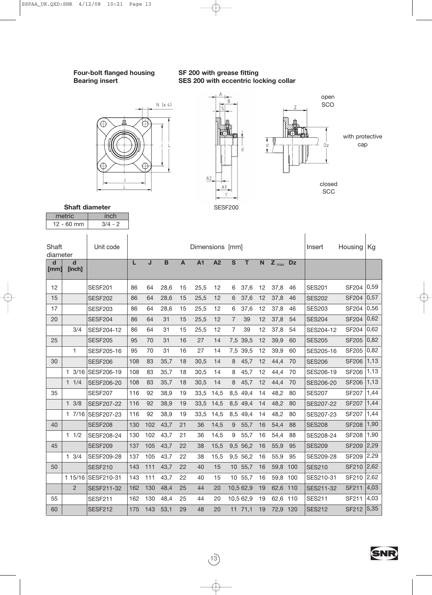**Four-bolt flanged housing SF 200 with grease fitting**

## **Bearing insert SES 200 with eccentric locking collar**





**Shaft diameter**

 $\begin{array}{|c|c|c|}\n \hline\n \text{metric} & \text{inch} \\
\hline\n 12 - 60 \text{ mm} & 3/4 - 2\n \end{array}$  $12 - 60$  mm

| Shaft<br>diameter |                 | Unit code          |     |     |                |                | Dimensions [mm] |                 |                |           |                         |           |           | Insert        | Housing      | Kg   |
|-------------------|-----------------|--------------------|-----|-----|----------------|----------------|-----------------|-----------------|----------------|-----------|-------------------------|-----------|-----------|---------------|--------------|------|
| d<br>[mm]         | d<br>[inch]     |                    | L   | J   | $\overline{B}$ | $\overline{A}$ | <b>A1</b>       | $\overline{A2}$ | $\mathbf{s}$   | T         | $\overline{\mathsf{N}}$ | $Z_{max}$ | <b>Dz</b> |               |              |      |
| 12                |                 | <b>SESF201</b>     | 86  | 64  | 28,6           | 15             | 25,5            | 12              | 6              | 37,6      | 12                      | 37,8      | 46        | <b>SES201</b> | <b>SF204</b> | 0,59 |
| 15                |                 | SESF202            | 86  | 64  | 28,6           | 15             | 25,5            | 12              | 6              | 37,6      | 12                      | 37,8      | 46        | <b>SES202</b> | <b>SF204</b> | 0,57 |
| 17                |                 | <b>SESF203</b>     | 86  | 64  | 28,6           | 15             | 25,5            | 12              | 6              | 37,6      | 12                      | 37,8      | 46        | <b>SES203</b> | <b>SF204</b> | 0,56 |
| 20                |                 | <b>SESF204</b>     | 86  | 64  | 31             | 15             | 25,5            | 12              | $\overline{7}$ | 39        | 12                      | 37,8      | 54        | <b>SES204</b> | <b>SF204</b> | 0,62 |
|                   | 3/4             | <b>SESF204-12</b>  | 86  | 64  | 31             | 15             | 25,5            | 12              | 7              | 39        | 12                      | 37,8      | 54        | SES204-12     | <b>SF204</b> | 0,62 |
| 25                |                 | <b>SESF205</b>     | 95  | 70  | 31             | 16             | 27              | 14              | 7,5            | 39,5      | 12                      | 39,9      | 60        | <b>SES205</b> | <b>SF205</b> | 0,82 |
|                   | 1               | SESF205-16         | 95  | 70  | 31             | 16             | 27              | 14              | 7,5            | 39,5      | 12                      | 39,9      | 60        | SES205-16     | <b>SF205</b> | 0,82 |
| 30                |                 | <b>SESF206</b>     | 108 | 83  | 35,7           | 18             | 30,5            | 14              | 8              | 45,7      | 12                      | 44,4      | 70        | <b>SES206</b> | <b>SF206</b> | 1,13 |
|                   |                 | 1 3/16 SESF206-19  | 108 | 83  | 35,7           | 18             | 30,5            | 14              | 8              | 45.7      | 12                      | 44,4      | 70        | SES206-19     | <b>SF206</b> | 1,13 |
|                   | 11/4            | <b>SESF206-20</b>  | 108 | 83  | 35,7           | 18             | 30,5            | 14              | 8              | 45,7      | 12                      | 44,4      | 70        | SES206-20     | <b>SF206</b> | 1,13 |
| 35                |                 | <b>SESF207</b>     | 116 | 92  | 38,9           | 19             | 33,5            | 14,5            | 8,5            | 49,4      | 14                      | 48,2      | 80        | <b>SES207</b> | <b>SF207</b> | 1,44 |
|                   | $1 \frac{3}{8}$ | <b>SESF207-22</b>  | 116 | 92  | 38,9           | 19             | 33,5            | 14,5            | 8,5            | 49,4      | 14                      | 48,2      | 80        | SES207-22     | <b>SF207</b> | 1,44 |
|                   | 17/16           | <b>SESF207-23</b>  | 116 | 92  | 38,9           | 19             | 33,5            | 14,5            | 8,5            | 49,4      | 14                      | 48,2      | 80        | SES207-23     | <b>SF207</b> | 1,44 |
| 40                |                 | SESF208            | 130 | 102 | 43,7           | 21             | 36              | 14,5            | 9              | 55,7      | 16                      | 54,4      | 88        | <b>SES208</b> | <b>SF208</b> | 1,90 |
|                   | 11/2            | SESF208-24         | 130 | 102 | 43,7           | 21             | 36              | 14,5            | 9              | 55,7      | 16                      | 54,4      | 88        | SES208-24     | <b>SF208</b> | 1,90 |
| 45                |                 | <b>SESF209</b>     | 137 | 105 | 43,7           | 22             | 38              | 15,5            | 9.5            | 56,2      | 16                      | 55,9      | 95        | <b>SES209</b> | <b>SF209</b> | 2,29 |
|                   | $1 \t3/4$       | <b>SESF209-28</b>  | 137 | 105 | 43,7           | 22             | 38              | 15,5            | 9,5            | 56,2      | 16                      | 55,9      | 95        | SES209-28     | <b>SF209</b> | 2,29 |
| 50                |                 | <b>SESF210</b>     | 143 | 111 | 43,7           | 22             | 40              | 15              | 10             | 55,7      | 16                      | 59,8 100  |           | <b>SES210</b> | SF210        | 2,62 |
|                   |                 | 1 15/16 SESF210-31 | 143 | 111 | 43,7           | 22             | 40              | 15              | 10             | 55,7      | 16                      | 59,8 100  |           | SES210-31     | SF210        | 2,62 |
|                   | $\overline{2}$  | SESF211-32         | 162 | 130 | 48,4           | 25             | 44              | 20              |                | 10,5 62,9 | 19                      | 62,6 110  |           | SES211-32     | <b>SF211</b> | 4,03 |
| 55                |                 | <b>SESF211</b>     | 162 | 130 | 48,4           | 25             | 44              | 20              |                | 10,5 62,9 | 19                      | 62,6      | 110       | <b>SES211</b> | SF211        | 4,03 |
| 60                |                 | <b>SESF212</b>     | 175 | 143 | 53,1           | 29             | 48              | 20              |                | 11, 71, 1 | 19                      | 72,9 120  |           | <b>SES212</b> | <b>SF212</b> | 5,35 |

 $(13)$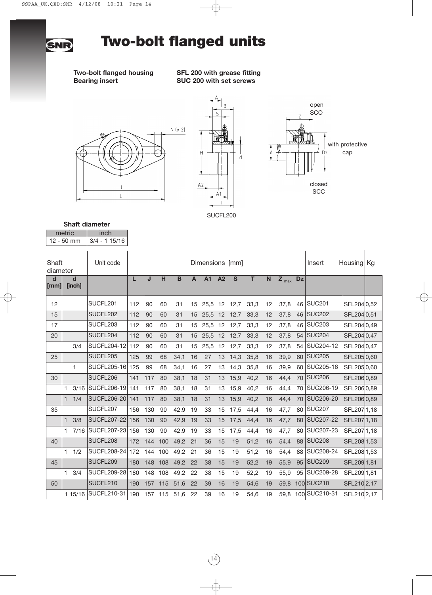

# **Two-bolt flanged units**

**Two-bolt flanged housing SFL 200 with grease fitting Bearing insert SUC 200 with set screws**







### metric | inch **Shaft diameter**

| $12 - 50$ mm      |              |             | $3/4 - 115/16$     |     |     |     |      |    |                 |                |              |      |             |           |           |               |             |  |
|-------------------|--------------|-------------|--------------------|-----|-----|-----|------|----|-----------------|----------------|--------------|------|-------------|-----------|-----------|---------------|-------------|--|
| Shaft<br>diameter |              |             | Unit code          |     |     |     |      |    | Dimensions [mm] |                |              |      |             |           |           | Insert        | Housing Kg  |  |
| d<br>[mm]         |              | d<br>[inch] |                    | L   | J   | н   | B    | A  | <b>A1</b>       | A <sub>2</sub> | $\mathbf{s}$ | T    | $\mathbf N$ | $Z_{max}$ | <b>Dz</b> |               |             |  |
| 12                |              |             | SUCFL201           | 112 | 90  | 60  | 31   | 15 | 25,5            | 12             | 12,7         | 33,3 | 12          | 37,8      | 46        | <b>SUC201</b> | SFL204 0,52 |  |
| 15                |              |             | SUCFL202           | 112 | 90  | 60  | 31   | 15 | 25,5            | 12             | 12,7         | 33,3 | 12          | 37,8      | 46        | <b>SUC202</b> | SFL204 0,51 |  |
| 17                |              |             | SUCFL203           | 112 | 90  | 60  | 31   | 15 | 25,5            | 12             | 12,7         | 33,3 | 12          | 37,8      | 46        | <b>SUC203</b> | SFL204 0,49 |  |
| 20                |              |             | SUCFL204           | 112 | 90  | 60  | 31   | 15 | 25,5            | 12             | 12,7         | 33,3 | 12          | 37,8      | 54        | <b>SUC204</b> | SFL204 0,47 |  |
|                   |              | 3/4         | <b>SUCFL204-12</b> | 112 | 90  | 60  | 31   | 15 | 25,5            | 12             | 12,7         | 33,3 | 12          | 37,8      | 54        | SUC204-12     | SFL204 0,47 |  |
| 25                |              |             | SUCFL205           | 125 | 99  | 68  | 34,1 | 16 | 27              | 13             | 14,3         | 35,8 | 16          | 39,9      | 60        | <b>SUC205</b> | SFL2050,60  |  |
|                   |              | 1           | <b>SUCFL205-16</b> | 125 | 99  | 68  | 34,1 | 16 | 27              | 13             | 14,3         | 35,8 | 16          | 39,9      | 60        | SUC205-16     | SFL2050,60  |  |
| 30                |              |             | SUCFL206           | 141 | 117 | 80  | 38,1 | 18 | 31              | 13             | 15,9         | 40,2 | 16          | 44,4      | 70        | <b>SUC206</b> | SFL206 0,89 |  |
|                   | 1.           | 3/16        | <b>SUCFL206-19</b> | 141 | 117 | 80  | 38,1 | 18 | 31              | 13             | 15,9         | 40,2 | 16          | 44,4      | 70        | SUC206-19     | SFL206 0.89 |  |
|                   | $\mathbf{1}$ | 1/4         | <b>SUCFL206-20</b> | 141 | 117 | 80  | 38,1 | 18 | 31              | 13             | 15,9         | 40,2 | 16          | 44,4      | 70        | SUC206-20     | SFL206 0,89 |  |
| 35                |              |             | SUCFL207           | 156 | 130 | 90  | 42,9 | 19 | 33              | 15             | 17,5         | 44,4 | 16          | 47,7      | 80        | <b>SUC207</b> | SFL207 1,18 |  |
|                   | $\mathbf{1}$ | 3/8         | <b>SUCFL207-22</b> | 156 | 130 | 90  | 42,9 | 19 | 33              | 15             | 17,5         | 44,4 | 16          | 47,7      | 80        | SUC207-22     | SFL207 1,18 |  |
|                   | $\mathbf{1}$ | 7/16        | <b>SUCFL207-23</b> | 156 | 130 | 90  | 42,9 | 19 | 33              | 15             | 17,5         | 44,4 | 16          | 47,7      | 80        | SUC207-23     | SFL207 1,18 |  |
| 40                |              |             | SUCFL208           | 172 | 144 | 100 | 49,2 | 21 | 36              | 15             | 19           | 51,2 | 16          | 54,4      | 88        | <b>SUC208</b> | SFL208 1,53 |  |
|                   | $\mathbf{1}$ | 1/2         | <b>SUCFL208-24</b> | 172 | 144 | 100 | 49,2 | 21 | 36              | 15             | 19           | 51,2 | 16          | 54,4      | 88        | SUC208-24     | SFL208 1,53 |  |
| 45                |              |             | SUCFL209           | 180 | 148 | 108 | 49,2 | 22 | 38              | 15             | 19           | 52,2 | 19          | 55,9      | 95        | <b>SUC209</b> | SFL209 1,81 |  |
|                   | $\mathbf{1}$ | 3/4         | <b>SUCFL209-28</b> | 180 | 148 | 108 | 49,2 | 22 | 38              | 15             | 19           | 52,2 | 19          | 55,9      | 95        | SUC209-28     | SFL209 1,81 |  |
| 50                |              |             | SUCFL210           | 190 | 157 | 115 | 51,6 | 22 | 39              | 16             | 19           | 54,6 | 19          | 59,8      |           | 100 SUC210    | SFL210 2,17 |  |
|                   |              | 1 15/16     | SUCFL210-31        | 190 | 157 | 115 | 51,6 | 22 | 39              | 16             | 19           | 54,6 | 19          | 59,8      |           | 100 SUC210-31 | SFL210 2,17 |  |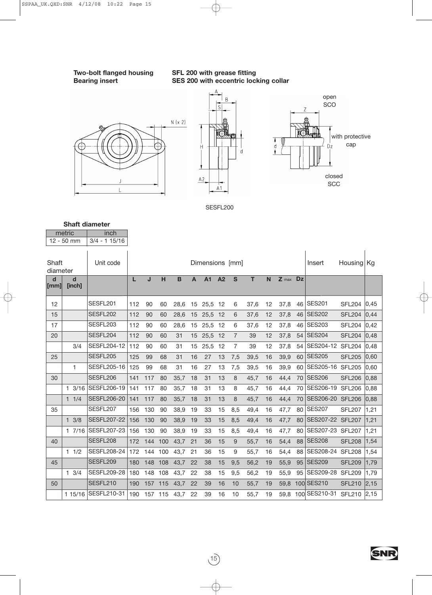### **Two-bolt flanged housing SFL 200 with grease fitting Bearing insert SES 200 with eccentric locking collar**





SESFL200

| <b>Shaft diameter</b> |      |
|-----------------------|------|
| metric                | inch |

|                      | $12 - 50$ mm     | $3/4 - 115/16$     |     |         |     |             |                |                 |    |                |      |    |         |           |                  |               |      |
|----------------------|------------------|--------------------|-----|---------|-----|-------------|----------------|-----------------|----|----------------|------|----|---------|-----------|------------------|---------------|------|
| Shaft<br>diameter    |                  | Unit code          |     |         |     |             |                | Dimensions [mm] |    |                |      |    |         |           | Insert           | Housing Kg    |      |
| d<br>$\mathsf{[mm]}$ | d<br>[inch]      |                    | L   | J       | H   | $\mathbf B$ | $\overline{A}$ | <b>A1</b>       | A2 | $\mathbf{s}$   | T    | N  | $Z$ max | <b>Dz</b> |                  |               |      |
| 12                   |                  | SESFL201           | 112 | 90      | 60  | 28,6        | 15             | 25,5            | 12 | 6              | 37,6 | 12 | 37,8    |           | 46 SES201        | <b>SFL204</b> | 0,45 |
| 15                   |                  | SESFL202           | 112 | 90      | 60  | 28,6        | 15             | 25,5            | 12 | 6              | 37,6 | 12 | 37,8    | 46        | <b>SES202</b>    | <b>SFL204</b> | 0,44 |
| 17                   |                  | SESFL203           | 112 | 90      | 60  | 28,6        | 15             | 25,5 12         |    | 6              | 37,6 | 12 | 37,8    | 46        | <b>SES203</b>    | <b>SFL204</b> | 0,42 |
| 20                   |                  | SESFL204           | 112 | 90      | 60  | 31          | 15             | 25,5 12         |    | $\overline{7}$ | 39   | 12 | 37,8    | 54        | <b>SES204</b>    | <b>SFL204</b> | 0,48 |
|                      | 3/4              | SESFL204-12        | 112 | 90      | 60  | 31          | 15             | 25,5            | 12 | $\overline{7}$ | 39   | 12 | 37,8    | 54        | SES204-12        | <b>SFL204</b> | 0,48 |
| 25                   |                  | SESFL205           | 125 | 99      | 68  | 31          | 16             | 27              | 13 | 7,5            | 39,5 | 16 | 39,9    | 60        | <b>SES205</b>    | <b>SFL205</b> | 0,60 |
|                      | 1                | <b>SESFL205-16</b> | 125 | 99      | 68  | 31          | 16             | 27              | 13 | 7,5            | 39,5 | 16 | 39,9    | 60        | SES205-16        | <b>SFL205</b> | 0,60 |
| 30                   |                  | SESFL206           | 141 | 117     | 80  | 35,7        | 18             | 31              | 13 | 8              | 45,7 | 16 | 44,4    |           | 70 SES206        | <b>SFL206</b> | 0,88 |
|                      | $1 \frac{3}{16}$ | <b>SESFL206-19</b> | 141 | 117     | 80  | 35,7        | 18             | 31              | 13 | 8              | 45,7 | 16 | 44,4    | 70        | SES206-19        | <b>SFL206</b> | 0,88 |
|                      | 11/4             | <b>SESFL206-20</b> | 141 | 117     | 80  | 35,7        | 18             | 31              | 13 | 8              | 45,7 | 16 | 44,4    | 70        | SES206-20        | <b>SFL206</b> | 0,88 |
| 35                   |                  | SESFL207           | 156 | 130     | 90  | 38,9        | 19             | 33              | 15 | 8,5            | 49,4 | 16 | 47,7    | 80        | <b>SES207</b>    | <b>SFL207</b> | 1,21 |
|                      | $1 \frac{3}{8}$  | <b>SESFL207-22</b> | 156 | 130     | 90  | 38,9        | 19             | 33              | 15 | 8,5            | 49,4 | 16 | 47,7    | 80        | SES207-22 SFL207 |               | 1,21 |
|                      | 17/16            | <b>SESFL207-23</b> | 156 | 130     | 90  | 38,9        | 19             | 33              | 15 | 8,5            | 49,4 | 16 | 47,7    | 80        | SES207-23        | <b>SFL207</b> | 1,21 |
| 40                   |                  | SESFL208           | 172 | 144     | 100 | 43,7        | 21             | 36              | 15 | 9              | 55,7 | 16 | 54,4    | 88        | <b>SES208</b>    | <b>SFL208</b> | 1,54 |
|                      | 11/2             | <b>SESFL208-24</b> | 172 | 144     | 100 | 43,7        | 21             | 36              | 15 | 9              | 55,7 | 16 | 54,4    | 88        | SES208-24        | <b>SFL208</b> | 1,54 |
| 45                   |                  | SESFL209           | 180 | 148     | 108 | 43,7        | 22             | 38              | 15 | 9,5            | 56,2 | 19 | 55,9    | 95        | <b>SES209</b>    | <b>SFL209</b> | 1,79 |
|                      | $1 \frac{3}{4}$  | <b>SESFL209-28</b> | 180 | 148     | 108 | 43,7        | 22             | 38              | 15 | 9,5            | 56,2 | 19 | 55,9    | 95        | SES209-28        | <b>SFL209</b> | 1,79 |
| 50                   |                  | SESFL210           | 190 | 157 115 |     | 43,7        | 22             | 39              | 16 | 10             | 55,7 | 19 | 59,8    |           | 100 SES210       | <b>SFL210</b> | 2,15 |
|                      | 1 15/16          | SESFL210-31        | 190 | 157 115 |     | 43,7        | 22             | 39              | 16 | 10             | 55,7 | 19 | 59.8    |           | 100 SES210-31    | <b>SFL210</b> | 2,15 |

 $\overrightarrow{15}$ 

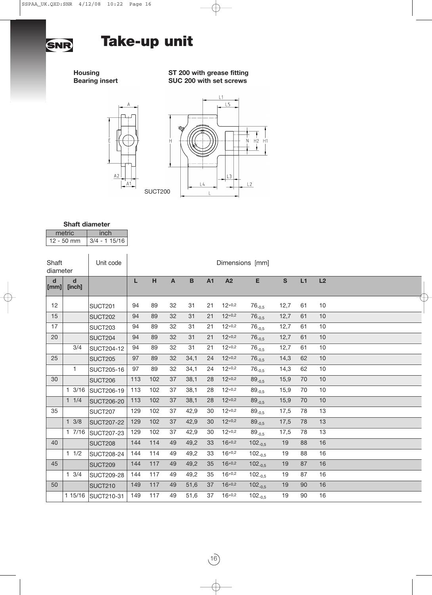

# **Take-up unit**

**Housing ST 200 with grease fitting Bearing insert SUC 200 with set screws**





### **Shaft diameter**

| metric       | unch.          |
|--------------|----------------|
| $12 - 50$ mm | $3/4 - 115/16$ |

| Shaft<br>diameter  |                       | Unit code         |     |     |                           |                |           |          | Dimensions [mm] |              |    |    |  |
|--------------------|-----------------------|-------------------|-----|-----|---------------------------|----------------|-----------|----------|-----------------|--------------|----|----|--|
| d<br>$\lceil$ [mm] | $\mathbf d$<br>[inch] |                   | L   | H   | $\boldsymbol{\mathsf{A}}$ | $\overline{B}$ | <b>A1</b> | A2       | E               | $\mathbf{s}$ | L1 | L2 |  |
| 12                 |                       | <b>SUCT201</b>    | 94  | 89  | 32                        | 31             | 21        | $12+0.2$ | $76_{-0.5}$     | 12,7         | 61 | 10 |  |
| 15                 |                       | <b>SUCT202</b>    | 94  | 89  | 32                        | 31             | 21        | $12+0.2$ | $76_{-0.5}$     | 12,7         | 61 | 10 |  |
| 17                 |                       | <b>SUCT203</b>    | 94  | 89  | 32                        | 31             | 21        | $12+0.2$ | $76_{-0.5}$     | 12,7         | 61 | 10 |  |
| 20                 |                       | SUCT204           | 94  | 89  | 32                        | 31             | 21        | $12+0.2$ | $76_{-0.5}$     | 12,7         | 61 | 10 |  |
|                    | 3/4                   | SUCT204-12        | 94  | 89  | 32                        | 31             | 21        | $12+0.2$ | $76_{-0,5}$     | 12,7         | 61 | 10 |  |
| 25                 |                       | <b>SUCT205</b>    | 97  | 89  | 32                        | 34,1           | 24        | $12+0.2$ | $76_{-0,5}$     | 14,3         | 62 | 10 |  |
|                    | 1                     | SUCT205-16        | 97  | 89  | 32                        | 34,1           | 24        | $12+0.2$ | $76_{-0.5}$     | 14,3         | 62 | 10 |  |
| 30                 |                       | <b>SUCT206</b>    | 113 | 102 | 37                        | 38,1           | 28        | $12+0.2$ | $89_{-0,5}$     | 15,9         | 70 | 10 |  |
|                    | $1 \frac{3}{16}$      | <b>SUCT206-19</b> | 113 | 102 | 37                        | 38,1           | 28        | $12+0.2$ | $89_{-0.5}$     | 15,9         | 70 | 10 |  |
|                    | 11/4                  | <b>SUCT206-20</b> | 113 | 102 | 37                        | 38,1           | 28        | $12+0.2$ | $89_{-0.5}$     | 15,9         | 70 | 10 |  |
| 35                 |                       | <b>SUCT207</b>    | 129 | 102 | 37                        | 42,9           | 30        | $12+0.2$ | $89_{-0.5}$     | 17,5         | 78 | 13 |  |
|                    | $1 \frac{3}{8}$       | <b>SUCT207-22</b> | 129 | 102 | 37                        | 42,9           | 30        | $12+0.2$ | $89_{-0.5}$     | 17,5         | 78 | 13 |  |
|                    | 17/16                 | <b>SUCT207-23</b> | 129 | 102 | 37                        | 42,9           | 30        | $12+0.2$ | $89_{-0.5}$     | 17,5         | 78 | 13 |  |
| 40                 |                       | <b>SUCT208</b>    | 144 | 114 | 49                        | 49,2           | 33        | $16+0.2$ | $102_{-0.5}$    | 19           | 88 | 16 |  |
|                    | 11/2                  | <b>SUCT208-24</b> | 144 | 114 | 49                        | 49,2           | 33        | $16+0.2$ | $102_{-0.5}$    | 19           | 88 | 16 |  |
| 45                 |                       | <b>SUCT209</b>    | 144 | 117 | 49                        | 49,2           | 35        | $16+0.2$ | $102_{-0.5}$    | 19           | 87 | 16 |  |
|                    | $1 \t3/4$             | <b>SUCT209-28</b> | 144 | 117 | 49                        | 49,2           | 35        | $16+0.2$ | $102_{-0.5}$    | 19           | 87 | 16 |  |
| 50                 |                       | <b>SUCT210</b>    | 149 | 117 | 49                        | 51,6           | 37        | $16+0.2$ | $102_{-0.5}$    | 19           | 90 | 16 |  |
|                    | 1 15/16               | SUCT210-31        | 149 | 117 | 49                        | 51,6           | 37        | $16+0.2$ | $102_{-0.5}$    | 19           | 90 | 16 |  |

 $(16)$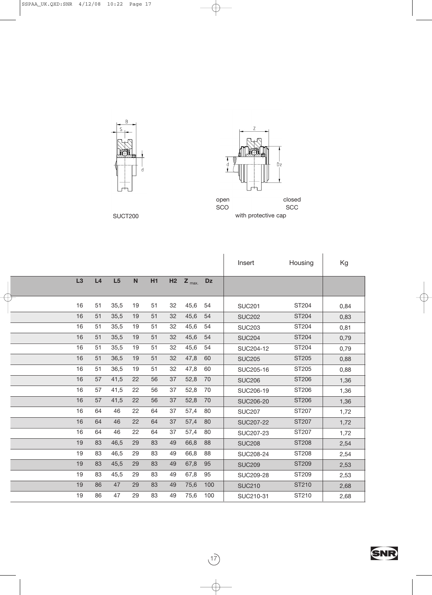



 $\overline{B}$ 

KX

d

closed **SCC** SUCT200 with protective cap

|    |    |      |    |           |                |            |           | Insert           | Housing      | Kg   |
|----|----|------|----|-----------|----------------|------------|-----------|------------------|--------------|------|
| L3 | L4 | L5   | N  | <b>H1</b> | H <sub>2</sub> | $Z_{max.}$ | <b>Dz</b> |                  |              |      |
| 16 | 51 | 35,5 | 19 | 51        | 32             | 45,6       | 54        | <b>SUC201</b>    | ST204        | 0,84 |
| 16 | 51 | 35,5 | 19 | 51        | 32             | 45,6       | 54        | <b>SUC202</b>    | ST204        | 0,83 |
| 16 | 51 | 35,5 | 19 | 51        | 32             | 45,6       | 54        | <b>SUC203</b>    | ST204        | 0,81 |
| 16 | 51 | 35,5 | 19 | 51        | 32             | 45,6       | 54        | <b>SUC204</b>    | ST204        | 0,79 |
| 16 | 51 | 35,5 | 19 | 51        | 32             | 45,6       | 54        | SUC204-12        | ST204        | 0,79 |
| 16 | 51 | 36,5 | 19 | 51        | 32             | 47,8       | 60        | <b>SUC205</b>    | ST205        | 0,88 |
| 16 | 51 | 36,5 | 19 | 51        | 32             | 47,8       | 60        | SUC205-16        | ST205        | 0,88 |
| 16 | 57 | 41,5 | 22 | 56        | 37             | 52,8       | 70        | <b>SUC206</b>    | ST206        | 1,36 |
| 16 | 57 | 41,5 | 22 | 56        | 37             | 52,8       | 70        | SUC206-19        | ST206        | 1,36 |
| 16 | 57 | 41,5 | 22 | 56        | 37             | 52,8       | 70        | <b>SUC206-20</b> | ST206        | 1,36 |
| 16 | 64 | 46   | 22 | 64        | 37             | 57,4       | 80        | <b>SUC207</b>    | ST207        | 1,72 |
| 16 | 64 | 46   | 22 | 64        | 37             | 57,4       | 80        | <b>SUC207-22</b> | ST207        | 1,72 |
| 16 | 64 | 46   | 22 | 64        | 37             | 57,4       | 80        | SUC207-23        | ST207        | 1,72 |
| 19 | 83 | 46,5 | 29 | 83        | 49             | 66,8       | 88        | <b>SUC208</b>    | <b>ST208</b> | 2,54 |
| 19 | 83 | 46,5 | 29 | 83        | 49             | 66,8       | 88        | SUC208-24        | ST208        | 2,54 |
| 19 | 83 | 45,5 | 29 | 83        | 49             | 67,8       | 95        | <b>SUC209</b>    | ST209        | 2,53 |
| 19 | 83 | 45,5 | 29 | 83        | 49             | 67,8       | 95        | SUC209-28        | ST209        | 2,53 |
| 19 | 86 | 47   | 29 | 83        | 49             | 75,6       | 100       | <b>SUC210</b>    | ST210        | 2,68 |
| 19 | 86 | 47   | 29 | 83        | 49             | 75,6       | 100       | SUC210-31        | ST210        | 2,68 |

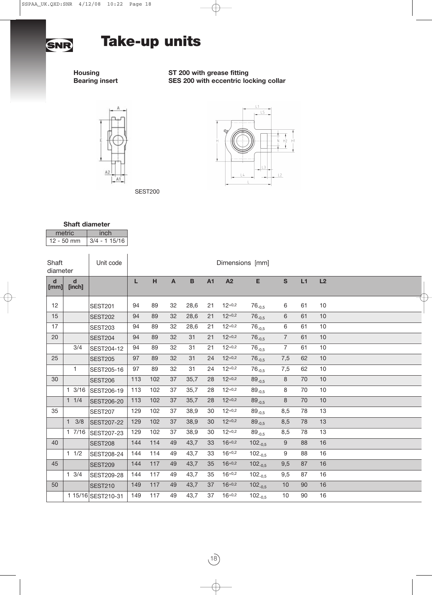

# **Take-up units**

SEST200

### **Housing ST 200 with grease fitting Bearing insert SES 200 with eccentric locking collar**





### **Shaft diameter**

metric inch<br>12 - 50 mm 3/4 - 1 1  $3/4 - 115/16$ 

| Shaft<br>diameter                            |                       | Unit code          |     |     |                         |             |           |          | Dimensions [mm] |                  |    |    |  |
|----------------------------------------------|-----------------------|--------------------|-----|-----|-------------------------|-------------|-----------|----------|-----------------|------------------|----|----|--|
| $\operatorname{\mathsf{d}}$<br>$\lceil$ [mm] | $\mathbf d$<br>[inch] |                    | L   | H   | $\overline{\mathsf{A}}$ | $\mathbf B$ | <b>A1</b> | A2       | E               | $\mathbf{s}$     | L1 | L2 |  |
| 12                                           |                       | <b>SEST201</b>     | 94  | 89  | 32                      | 28,6        | 21        | $12+0.2$ | $76_{-0.5}$     | 6                | 61 | 10 |  |
| 15                                           |                       | <b>SEST202</b>     | 94  | 89  | 32                      | 28,6        | 21        | $12+0.2$ | $76_{-0,5}$     | 6                | 61 | 10 |  |
| 17                                           |                       | <b>SEST203</b>     | 94  | 89  | 32                      | 28,6        | 21        | $12+0.2$ | $76_{-0,5}$     | 6                | 61 | 10 |  |
| 20                                           |                       | <b>SEST204</b>     | 94  | 89  | 32                      | 31          | 21        | $12+0.2$ | $76_{-0.5}$     | $\overline{7}$   | 61 | 10 |  |
|                                              | 3/4                   | SEST204-12         | 94  | 89  | 32                      | 31          | 21        | $12+0.2$ | $76_{-0.5}$     | $\overline{7}$   | 61 | 10 |  |
| 25                                           |                       | <b>SEST205</b>     | 97  | 89  | 32                      | 31          | 24        | $12+0.2$ | $76_{-0.5}$     | 7,5              | 62 | 10 |  |
|                                              | $\mathbf{1}$          | SEST205-16         | 97  | 89  | 32                      | 31          | 24        | $12+0.2$ | $76_{-0.5}$     | 7,5              | 62 | 10 |  |
| 30                                           |                       | <b>SEST206</b>     | 113 | 102 | 37                      | 35,7        | 28        | $12+0.2$ | $89_{-0.5}$     | 8                | 70 | 10 |  |
|                                              | $1 \frac{3}{16}$      | SEST206-19         | 113 | 102 | 37                      | 35,7        | 28        | $12+0.2$ | $89_{-0.5}$     | 8                | 70 | 10 |  |
|                                              | 11/4                  | <b>SEST206-20</b>  | 113 | 102 | 37                      | 35,7        | 28        | $12+0.2$ | $89_{-0,5}$     | 8                | 70 | 10 |  |
| 35                                           |                       | <b>SEST207</b>     | 129 | 102 | 37                      | 38,9        | 30        | $12+0.2$ | $89_{-0,5}$     | 8,5              | 78 | 13 |  |
|                                              | $1 \t3/8$             | <b>SEST207-22</b>  | 129 | 102 | 37                      | 38,9        | 30        | $12+0.2$ | $89_{-0.5}$     | 8,5              | 78 | 13 |  |
|                                              | 17/16                 | SEST207-23         | 129 | 102 | 37                      | 38,9        | 30        | $12+0.2$ | $89_{-0.5}$     | 8,5              | 78 | 13 |  |
| 40                                           |                       | <b>SEST208</b>     | 144 | 114 | 49                      | 43,7        | 33        | $16+0.2$ | $102_{-0.5}$    | $\boldsymbol{9}$ | 88 | 16 |  |
|                                              | 11/2                  | SEST208-24         | 144 | 114 | 49                      | 43,7        | 33        | $16+0.2$ | $102_{-0.5}$    | 9                | 88 | 16 |  |
| 45                                           |                       | <b>SEST209</b>     | 144 | 117 | 49                      | 43,7        | 35        | $16+0.2$ | $102_{-0.5}$    | 9,5              | 87 | 16 |  |
|                                              | $1 \t3/4$             | SEST209-28         | 144 | 117 | 49                      | 43,7        | 35        | $16+0.2$ | $102_{-0.5}$    | 9,5              | 87 | 16 |  |
| 50                                           |                       | <b>SEST210</b>     | 149 | 117 | 49                      | 43,7        | 37        | $16+0.2$ | $102_{-0.5}$    | 10               | 90 | 16 |  |
|                                              |                       | 1 15/16 SEST210-31 | 149 | 117 | 49                      | 43,7        | 37        | $16+0.2$ | $102_{-0.5}$    | 10               | 90 | 16 |  |

 $(18)$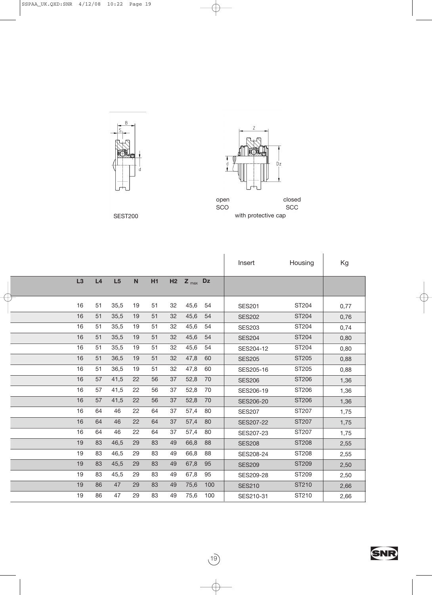



open SCO closed **SCC** SEST200 with protective cap

T Ξ Ī

Ξ 

Ī Ξ Ξ

|    |    |      |                           |           |    |           |     |               | Insert<br>Housing |      |
|----|----|------|---------------------------|-----------|----|-----------|-----|---------------|-------------------|------|
|    |    |      |                           |           |    |           |     |               |                   | Kg   |
| L3 | L4 | L5   | $\boldsymbol{\mathsf{N}}$ | <b>H1</b> | H2 | $Z_{max}$ | Dz  |               |                   |      |
|    |    |      |                           |           |    |           |     |               |                   |      |
| 16 | 51 | 35,5 | 19                        | 51        | 32 | 45,6      | 54  | <b>SES201</b> | ST204             | 0,77 |
| 16 | 51 | 35,5 | 19                        | 51        | 32 | 45,6      | 54  | <b>SES202</b> | ST204             | 0,76 |
| 16 | 51 | 35,5 | 19                        | 51        | 32 | 45,6      | 54  | <b>SES203</b> | ST204             | 0,74 |
| 16 | 51 | 35,5 | 19                        | 51        | 32 | 45,6      | 54  | <b>SES204</b> | ST204             | 0,80 |
| 16 | 51 | 35,5 | 19                        | 51        | 32 | 45,6      | 54  | SES204-12     | ST204             | 0,80 |
| 16 | 51 | 36,5 | 19                        | 51        | 32 | 47,8      | 60  | <b>SES205</b> | ST205             | 0,88 |
| 16 | 51 | 36,5 | 19                        | 51        | 32 | 47,8      | 60  | SES205-16     | ST205             | 0,88 |
| 16 | 57 | 41,5 | 22                        | 56        | 37 | 52,8      | 70  | <b>SES206</b> | ST206             | 1,36 |
| 16 | 57 | 41,5 | 22                        | 56        | 37 | 52,8      | 70  | SES206-19     | ST206             | 1,36 |
| 16 | 57 | 41,5 | 22                        | 56        | 37 | 52,8      | 70  | SES206-20     | ST206             | 1,36 |
| 16 | 64 | 46   | 22                        | 64        | 37 | 57,4      | 80  | <b>SES207</b> | ST207             | 1,75 |
| 16 | 64 | 46   | 22                        | 64        | 37 | 57,4      | 80  | SES207-22     | ST207             | 1,75 |
| 16 | 64 | 46   | 22                        | 64        | 37 | 57,4      | 80  | SES207-23     | ST207             | 1,75 |
| 19 | 83 | 46,5 | 29                        | 83        | 49 | 66,8      | 88  | <b>SES208</b> | <b>ST208</b>      | 2,55 |
| 19 | 83 | 46,5 | 29                        | 83        | 49 | 66,8      | 88  | SES208-24     | ST208             | 2,55 |
| 19 | 83 | 45,5 | 29                        | 83        | 49 | 67,8      | 95  | <b>SES209</b> | ST209             | 2,50 |
| 19 | 83 | 45,5 | 29                        | 83        | 49 | 67,8      | 95  | SES209-28     | ST209             | 2,50 |
| 19 | 86 | 47   | 29                        | 83        | 49 | 75,6      | 100 | <b>SES210</b> | ST210             | 2,66 |
| 19 | 86 | 47   | 29                        | 83        | 49 | 75,6      | 100 | SES210-31     | ST210             | 2,66 |

 $\overrightarrow{19}$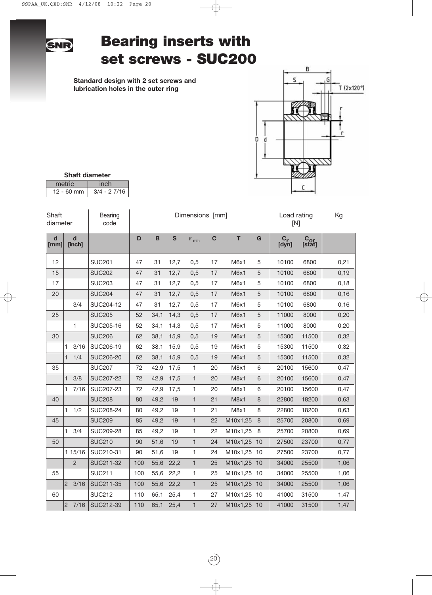

# **Bearing inserts with set screws - SUC200**

**Standard design with 2 set screws and lubrication holes in the outer ring**



| <b>Shaft diameter</b> |               |  |  |  |  |  |  |  |  |  |  |
|-----------------------|---------------|--|--|--|--|--|--|--|--|--|--|
| metric                | inch          |  |  |  |  |  |  |  |  |  |  |
| $12 - 60$ mm          | $3/4 - 27/16$ |  |  |  |  |  |  |  |  |  |  |

| Shaft<br>diameter   |                       | Bearing<br>code  |     |             |             | Dimensions [mm] | Load rating<br>[N] | Kg          |                  |             |                        |      |
|---------------------|-----------------------|------------------|-----|-------------|-------------|-----------------|--------------------|-------------|------------------|-------------|------------------------|------|
| $\mathbf d$<br>[mm] | $\mathbf d$<br>[inch] |                  | D   | $\mathbf B$ | $\mathbf s$ | $r_{min}$       | $\mathbf C$        | T           | G                | $C_r$ [dyn] | $C_{\text{or}}$ [stat] |      |
| 12                  |                       | <b>SUC201</b>    | 47  | 31          | 12,7        | 0,5             | 17                 | M6x1        | 5                | 10100       | 6800                   | 0,21 |
| 15                  |                       | <b>SUC202</b>    | 47  | 31          | 12,7        | 0,5             | 17                 | M6x1        | $\sqrt{5}$       | 10100       | 6800                   | 0,19 |
| 17                  |                       | <b>SUC203</b>    | 47  | 31          | 12,7        | 0,5             | 17                 | M6x1        | 5                | 10100       | 6800                   | 0,18 |
| 20                  |                       | <b>SUC204</b>    | 47  | 31          | 12,7        | 0,5             | 17                 | M6x1        | 5                | 10100       | 6800                   | 0,16 |
|                     | 3/4                   | SUC204-12        | 47  | 31          | 12,7        | 0,5             | 17                 | M6x1        | 5                | 10100       | 6800                   | 0,16 |
| 25                  |                       | <b>SUC205</b>    | 52  | 34,1        | 14,3        | 0,5             | 17                 | M6x1        | 5                | 11000       | 8000                   | 0,20 |
|                     | $\mathbf{1}$          | SUC205-16        | 52  | 34,1        | 14,3        | 0,5             | 17                 | M6x1        | $\sqrt{5}$       | 11000       | 8000                   | 0,20 |
| 30                  |                       | <b>SUC206</b>    | 62  | 38,1        | 15,9        | 0,5             | 19                 | M6x1        | $\mathbf 5$      | 15300       | 11500                  | 0,32 |
|                     | 1<br>3/16             | SUC206-19        | 62  | 38,1        | 15,9        | 0,5             | 19                 | M6x1        | 5                | 15300       | 11500                  | 0,32 |
|                     | 1/4<br>$\mathbf{1}$   | <b>SUC206-20</b> | 62  | 38,1        | 15,9        | 0,5             | 19                 | M6x1        | 5                | 15300       | 11500                  | 0,32 |
| 35                  |                       | <b>SUC207</b>    | 72  | 42,9        | 17,5        | 1               | 20                 | M8x1        | 6                | 20100       | 15600                  | 0,47 |
|                     | 3/8<br>1              | <b>SUC207-22</b> | 72  | 42,9        | 17,5        | 1               | 20                 | M8x1        | $6\,$            | 20100       | 15600                  | 0,47 |
|                     | 7/16<br>1.            | SUC207-23        | 72  | 42,9        | 17,5        | 1               | 20                 | M8x1        | 6                | 20100       | 15600                  | 0,47 |
| 40                  |                       | <b>SUC208</b>    | 80  | 49,2        | 19          | $\mathbf{1}$    | 21                 | M8x1        | 8                | 22800       | 18200                  | 0,63 |
|                     | 1/2<br>1.             | SUC208-24        | 80  | 49,2        | 19          | 1               | 21                 | M8x1        | 8                | 22800       | 18200                  | 0,63 |
| 45                  |                       | <b>SUC209</b>    | 85  | 49,2        | 19          | $\mathbf{1}$    | 22                 | M10x1,25    | $\boldsymbol{8}$ | 25700       | 20800                  | 0,69 |
|                     | 3/4<br>1.             | SUC209-28        | 85  | 49,2        | 19          | 1               | 22                 | M10x1,25    | 8                | 25700       | 20800                  | 0,69 |
| 50                  |                       | <b>SUC210</b>    | 90  | 51,6        | 19          | $\mathbf{1}$    | 24                 | M10x1,25    | 10               | 27500       | 23700                  | 0,77 |
|                     | 1 15/16               | SUC210-31        | 90  | 51,6        | 19          | 1               | 24                 | M10x1,25    | 10               | 27500       | 23700                  | 0,77 |
|                     | $\overline{2}$        | SUC211-32        | 100 | 55,6        | 22,2        | $\mathbf{1}$    | 25                 | M10x1,25    | 10               | 34000       | 25500                  | 1,06 |
| 55                  |                       | <b>SUC211</b>    | 100 | 55,6        | 22,2        | 1               | 25                 | M10x1,25 10 |                  | 34000       | 25500                  | 1,06 |
|                     | $ 2\rangle$<br>3/16   | SUC211-35        | 100 | 55,6        | 22,2        | 1               | 25                 | M10x1,25 10 |                  | 34000       | 25500                  | 1,06 |
| 60                  |                       | <b>SUC212</b>    | 110 | 65,1        | 25,4        | 1               | 27                 | M10x1,25 10 |                  | 41000       | 31500                  | 1,47 |
|                     | 2 <br>7/16            | SUC212-39        | 110 | 65,1        | 25,4        | $\mathbf{1}$    | 27                 | M10x1,25 10 |                  | 41000       | 31500                  | 1,47 |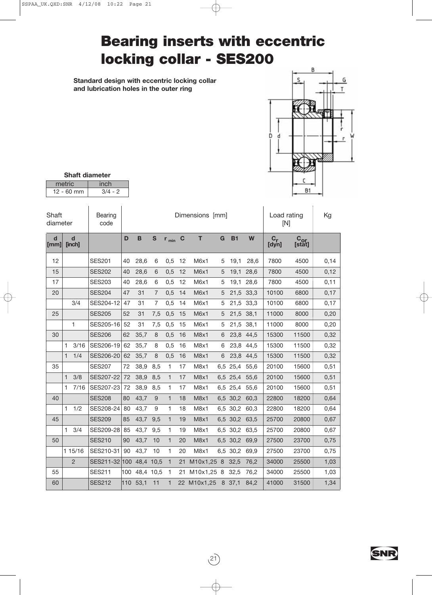# **Bearing inserts with eccentric locking collar - SES200**

**Standard design with eccentric locking collar and lubrication holes in the outer ring**



| <b>Shaft diameter</b> |           |  |  |  |  |  |  |  |  |  |
|-----------------------|-----------|--|--|--|--|--|--|--|--|--|
| inch<br>metric        |           |  |  |  |  |  |  |  |  |  |
| $12 - 60$ mm          | $3/4 - 2$ |  |  |  |  |  |  |  |  |  |

| Shaft<br>diameter   |                |      | Bearing<br>code |     |           |                | Dimensions [mm] | Load rating<br>[N] |            | Kg  |           |      |                  |                           |      |
|---------------------|----------------|------|-----------------|-----|-----------|----------------|-----------------|--------------------|------------|-----|-----------|------|------------------|---------------------------|------|
| $\mathbf d$<br>[mm] | d<br>[inch]    |      |                 | D   | B         | $\mathbf{s}$   | $r_{min}$       | $\mathbf C$        | T          | G   | <b>B1</b> | W    | $C_{r}$<br>[dyn] | C <sub>or</sub><br>[stat] |      |
| 12                  |                |      | <b>SES201</b>   | 40  | 28.6      | 6              | 0,5             | 12                 | M6x1       | 5   | 19.1      | 28.6 | 7800             | 4500                      | 0,14 |
| 15                  |                |      | <b>SES202</b>   | 40  | 28,6      | 6              | 0,5             | 12                 | M6x1       | 5   | 19,1      | 28,6 | 7800             | 4500                      | 0,12 |
| 17                  | <b>SES203</b>  |      |                 | 40  | 28,6      | 6              | 0,5             | 12                 | M6x1       | 5   | 19,1      | 28,6 | 7800             | 4500                      | 0,11 |
| 20                  | <b>SES204</b>  |      |                 | 47  | 31        | $\overline{7}$ | 0,5             | 14                 | M6x1       | 5   | 21,5      | 33,3 | 10100            | 6800                      | 0,17 |
|                     |                | 3/4  | SES204-12       | 47  | 31        | $\overline{7}$ | 0,5             | 14                 | M6x1       | 5   | 21,5      | 33,3 | 10100            | 6800                      | 0,17 |
| 25                  |                |      | <b>SES205</b>   | 52  | 31        | 7,5            | 0,5             | 15                 | M6x1       | 5   | 21,5      | 38,1 | 11000            | 8000                      | 0,20 |
|                     |                | 1    | SES205-16       | 52  | 31        | 7,5            | 0,5             | 15                 | M6x1       | 5   | 21,5      | 38,1 | 11000            | 8000                      | 0,20 |
| 30                  |                |      | <b>SES206</b>   | 62  | 35,7      | 8              | 0,5             | 16                 | M8x1       | 6   | 23,8      | 44,5 | 15300            | 11500                     | 0,32 |
|                     | 1              | 3/16 | SES206-19       | 62  | 35,7      | 8              | 0,5             | 16                 | M8x1       | 6   | 23,8      | 44,5 | 15300            | 11500                     | 0,32 |
|                     | $\mathbf{1}$   | 1/4  | SES206-20       | 62  | 35,7      | 8              | 0,5             | 16                 | M8x1       | 6   | 23,8      | 44,5 | 15300            | 11500                     | 0,32 |
| 35                  |                |      | <b>SES207</b>   | 72  | 38,9      | 8,5            | 1               | 17                 | M8x1       | 6,5 | 25,4      | 55,6 | 20100            | 15600                     | 0,51 |
|                     | 1              | 3/8  | SES207-22       | 72  | 38,9      | 8,5            | 1               | 17                 | M8x1       | 6,5 | 25,4      | 55,6 | 20100            | 15600                     | 0,51 |
|                     | 1              | 7/16 | SES207-23       | 72  | 38,9      | 8,5            | 1               | 17                 | M8x1       | 6,5 | 25,4      | 55,6 | 20100            | 15600                     | 0,51 |
| 40                  |                |      | <b>SES208</b>   | 80  | 43,7      | 9              | 1               | 18                 | M8x1       | 6,5 | 30,2      | 60,3 | 22800            | 18200                     | 0,64 |
|                     | 1              | 1/2  | SES208-24       | 80  | 43,7      | 9              | 1               | 18                 | M8x1       | 6,5 | 30,2      | 60,3 | 22800            | 18200                     | 0,64 |
| 45                  |                |      | <b>SES209</b>   | 85  | 43,7      | 9,5            | $\mathbf{1}$    | 19                 | M8x1       | 6,5 | 30,2      | 63,5 | 25700            | 20800                     | 0,67 |
|                     | 1              | 3/4  | SES209-28       | 85  | 43,7      | 9,5            | 1               | 19                 | M8x1       | 6,5 | 30,2      | 63,5 | 25700            | 20800                     | 0,67 |
| 50                  |                |      | <b>SES210</b>   | 90  | 43,7      | 10             | 1               | 20                 | M8x1       | 6,5 | 30,2      | 69,9 | 27500            | 23700                     | 0,75 |
|                     | 1 15/16        |      | SES210-31       | 90  | 43,7      | 10             | 1               | 20                 | M8x1       | 6,5 | 30,2      | 69,9 | 27500            | 23700                     | 0,75 |
|                     | $\overline{2}$ |      | SES211-32 100   |     | 48,4      | 10,5           | 1               | 21                 | M10x1,25 8 |     | 32,5      | 76,2 | 34000            | 25500                     | 1,03 |
| 55                  |                |      | <b>SES211</b>   | 100 | 48,4 10,5 |                | 1               | 21                 | M10x1,25   | 8   | 32,5      | 76,2 | 34000            | 25500                     | 1,03 |
| 60                  |                |      | <b>SES212</b>   | 110 | 53,1      | 11             | 1               | 22                 | M10x1,25   | 8   | 37,1      | 84,2 | 41000            | 31500                     | 1,34 |

 $(27)$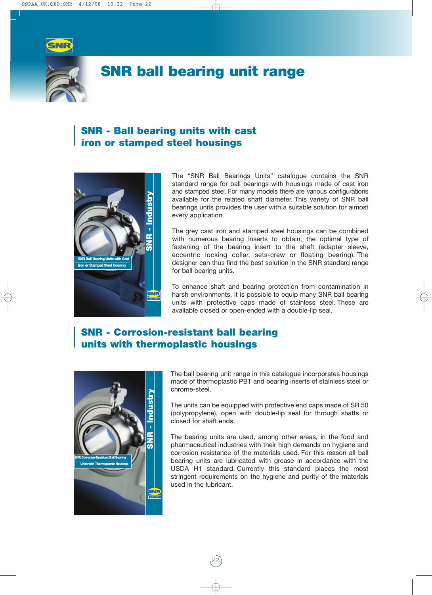



## **SNR ball bearing unit range**

### **SNR - Ball bearing units with cast iron or stamped steel housings**



The "SNR Ball Bearings Units" catalogue contains the SNR standard range for ball bearings with housings made of cast iron and stamped steel. For many models there are various configurations available for the related shaft diameter. This variety of SNR ball bearings units provides the user with a suitable solution for almost every application.

The grey cast iron and stamped steel housings can be combined with numerous bearing inserts to obtain, the optimal type of fastening of the bearing insert to the shaft (adapter sleeve, eccentric locking collar, sets-crew or floating bearing). The designer can thus find the best solution in the SNR standard range for ball bearing units.

To enhance shaft and bearing protection from contamination in harsh environments, it is possible to equip many SNR ball bearing units with protective caps made of stainless steel. These are available closed or open-ended with a double-lip seal.

### **SNR - Corrosion-resistant ball bearing units with thermoplastic housings**



The ball bearing unit range in this catalogue incorporates housings made of thermoplastic PBT and bearing inserts of stainless steel or chrome-steel.

The units can be equipped with protective end caps made of SR 50 (polypropylene), open with double-lip seal for through shafts or closed for shaft ends.

The bearing units are used, among other areas, in the food and pharmaceutical industries with their high demands on hygiene and corrosion resistance of the materials used. For this reason all ball bearing units are lubricated with grease in accordance with the USDA H1 standard. Currently this standard places the most stringent requirements on the hygiene and purity of the materials used in the lubricant.

22